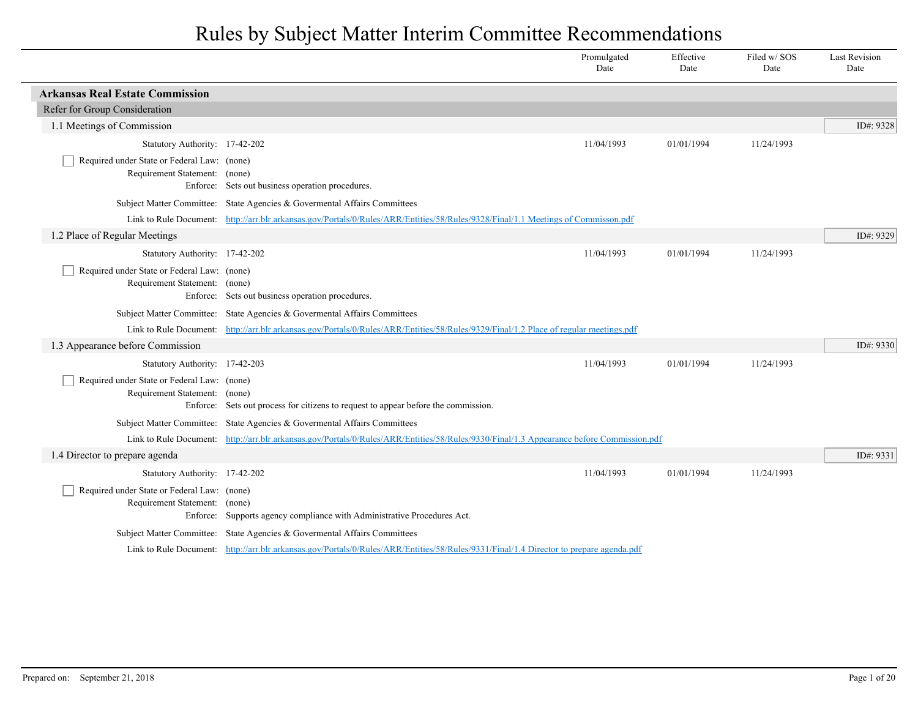|                                                                              |                                                                                                                                          | Promulgated<br>Date | Effective<br>Date | Filed w/SOS<br>Date | <b>Last Revision</b><br>Date |
|------------------------------------------------------------------------------|------------------------------------------------------------------------------------------------------------------------------------------|---------------------|-------------------|---------------------|------------------------------|
| <b>Arkansas Real Estate Commission</b>                                       |                                                                                                                                          |                     |                   |                     |                              |
| Refer for Group Consideration                                                |                                                                                                                                          |                     |                   |                     |                              |
| 1.1 Meetings of Commission                                                   |                                                                                                                                          |                     |                   |                     | ID#: 9328                    |
| Statutory Authority: 17-42-202                                               |                                                                                                                                          | 11/04/1993          | 01/01/1994        | 11/24/1993          |                              |
| Required under State or Federal Law: (none)<br>Requirement Statement: (none) |                                                                                                                                          |                     |                   |                     |                              |
|                                                                              | Enforce: Sets out business operation procedures.                                                                                         |                     |                   |                     |                              |
|                                                                              | Subject Matter Committee: State Agencies & Governental Affairs Committees                                                                |                     |                   |                     |                              |
|                                                                              | Link to Rule Document: http://arr.blr.arkansas.gov/Portals/0/Rules/ARR/Entities/58/Rules/9328/Final/1.1 Meetings of Commisson.pdf        |                     |                   |                     |                              |
| 1.2 Place of Regular Meetings                                                |                                                                                                                                          |                     |                   |                     | ID#: 9329                    |
| Statutory Authority: 17-42-202                                               |                                                                                                                                          | 11/04/1993          | 01/01/1994        | 11/24/1993          |                              |
| Required under State or Federal Law: (none)<br>Requirement Statement: (none) | Enforce: Sets out business operation procedures.                                                                                         |                     |                   |                     |                              |
|                                                                              | Subject Matter Committee: State Agencies & Governental Affairs Committees                                                                |                     |                   |                     |                              |
|                                                                              | Link to Rule Document: http://arr.blr.arkansas.gov/Portals/0/Rules/ARR/Entities/58/Rules/9329/Final/1.2 Place of regular meetings.pdf    |                     |                   |                     |                              |
| 1.3 Appearance before Commission                                             |                                                                                                                                          |                     |                   |                     | ID#: 9330                    |
| Statutory Authority: 17-42-203                                               |                                                                                                                                          | 11/04/1993          | 01/01/1994        | 11/24/1993          |                              |
| Required under State or Federal Law: (none)<br>Requirement Statement:        | (none)<br>Enforce: Sets out process for citizens to request to appear before the commission.                                             |                     |                   |                     |                              |
|                                                                              | Subject Matter Committee: State Agencies & Governental Affairs Committees                                                                |                     |                   |                     |                              |
|                                                                              | Link to Rule Document: http://arr.blr.arkansas.gov/Portals/0/Rules/ARR/Entities/58/Rules/9330/Final/1.3 Appearance before Commission.pdf |                     |                   |                     |                              |
| 1.4 Director to prepare agenda                                               |                                                                                                                                          |                     |                   |                     | ID#: 9331                    |
| Statutory Authority: 17-42-202                                               |                                                                                                                                          | 11/04/1993          | 01/01/1994        | 11/24/1993          |                              |
| Required under State or Federal Law: (none)<br>Requirement Statement: (none) | Enforce: Supports agency compliance with Administrative Procedures Act.                                                                  |                     |                   |                     |                              |
|                                                                              | Subject Matter Committee: State Agencies & Governental Affairs Committees                                                                |                     |                   |                     |                              |
|                                                                              | Link to Rule Document: http://arr.blr.arkansas.gov/Portals/0/Rules/ARR/Entities/58/Rules/9331/Final/1.4 Director to prepare agenda.pdf   |                     |                   |                     |                              |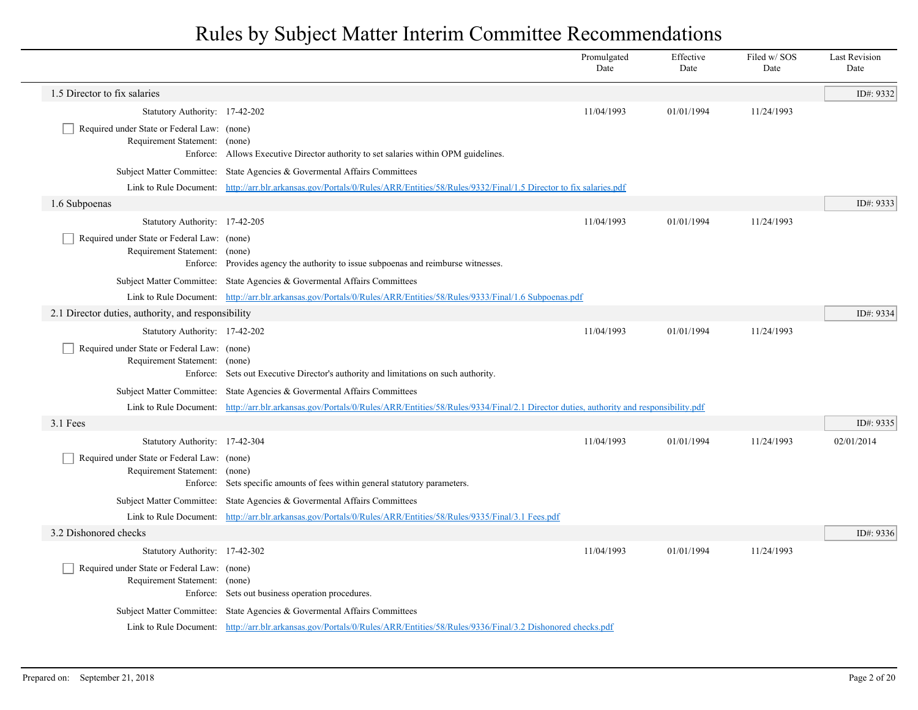|                                                                                          |                                                                                                                                                           | Promulgated<br>Date | Effective<br>Date | Filed w/ SOS<br>Date | <b>Last Revision</b><br>Date |
|------------------------------------------------------------------------------------------|-----------------------------------------------------------------------------------------------------------------------------------------------------------|---------------------|-------------------|----------------------|------------------------------|
| 1.5 Director to fix salaries                                                             |                                                                                                                                                           |                     |                   |                      | ID#: 9332                    |
| Statutory Authority: 17-42-202                                                           |                                                                                                                                                           | 11/04/1993          | 01/01/1994        | 11/24/1993           |                              |
| Required under State or Federal Law: (none)<br>Requirement Statement: (none)<br>Enforce: | Allows Executive Director authority to set salaries within OPM guidelines.                                                                                |                     |                   |                      |                              |
|                                                                                          | Subject Matter Committee: State Agencies & Governental Affairs Committees                                                                                 |                     |                   |                      |                              |
|                                                                                          | Link to Rule Document: http://arr.blr.arkansas.gov/Portals/0/Rules/ARR/Entities/58/Rules/9332/Final/1.5 Director to fix salaries.pdf                      |                     |                   |                      |                              |
| 1.6 Subpoenas                                                                            |                                                                                                                                                           |                     |                   |                      | ID#: 9333                    |
| Statutory Authority: 17-42-205                                                           |                                                                                                                                                           | 11/04/1993          | 01/01/1994        | 11/24/1993           |                              |
| Required under State or Federal Law: (none)<br>Requirement Statement: (none)             | Enforce: Provides agency the authority to issue subpoenas and reimburse witnesses.                                                                        |                     |                   |                      |                              |
|                                                                                          | Subject Matter Committee: State Agencies & Governental Affairs Committees                                                                                 |                     |                   |                      |                              |
|                                                                                          | Link to Rule Document: http://arr.blr.arkansas.gov/Portals/0/Rules/ARR/Entities/58/Rules/9333/Final/1.6 Subpoenas.pdf                                     |                     |                   |                      |                              |
| 2.1 Director duties, authority, and responsibility                                       |                                                                                                                                                           |                     |                   |                      | ID#: 9334                    |
| Statutory Authority: 17-42-202                                                           |                                                                                                                                                           | 11/04/1993          | 01/01/1994        | 11/24/1993           |                              |
| Required under State or Federal Law: (none)<br>Requirement Statement: (none)             | Enforce: Sets out Executive Director's authority and limitations on such authority.                                                                       |                     |                   |                      |                              |
|                                                                                          | Subject Matter Committee: State Agencies & Governental Affairs Committees                                                                                 |                     |                   |                      |                              |
|                                                                                          | Link to Rule Document: http://arr.blr.arkansas.gov/Portals/0/Rules/ARR/Entities/58/Rules/9334/Final/2.1 Director duties, authority and responsibility.pdf |                     |                   |                      |                              |
| 3.1 Fees                                                                                 |                                                                                                                                                           |                     |                   |                      | ID#: 9335                    |
| Statutory Authority: 17-42-304                                                           |                                                                                                                                                           | 11/04/1993          | 01/01/1994        | 11/24/1993           | 02/01/2014                   |
| Required under State or Federal Law: (none)<br>Requirement Statement: (none)             | Enforce: Sets specific amounts of fees within general statutory parameters.                                                                               |                     |                   |                      |                              |
|                                                                                          | Subject Matter Committee: State Agencies & Governental Affairs Committees                                                                                 |                     |                   |                      |                              |
|                                                                                          | Link to Rule Document: http://arr.blr.arkansas.gov/Portals/0/Rules/ARR/Entities/58/Rules/9335/Final/3.1 Fees.pdf                                          |                     |                   |                      |                              |
| 3.2 Dishonored checks                                                                    |                                                                                                                                                           |                     |                   |                      | ID#: 9336                    |
| Statutory Authority: 17-42-302                                                           |                                                                                                                                                           | 11/04/1993          | 01/01/1994        | 11/24/1993           |                              |
| Required under State or Federal Law: (none)<br>Requirement Statement: (none)             | Enforce: Sets out business operation procedures.                                                                                                          |                     |                   |                      |                              |
|                                                                                          | Subject Matter Committee: State Agencies & Governental Affairs Committees                                                                                 |                     |                   |                      |                              |
|                                                                                          | Link to Rule Document: http://arr.blr.arkansas.gov/Portals/0/Rules/ARR/Entities/58/Rules/9336/Final/3.2 Dishonored checks.pdf                             |                     |                   |                      |                              |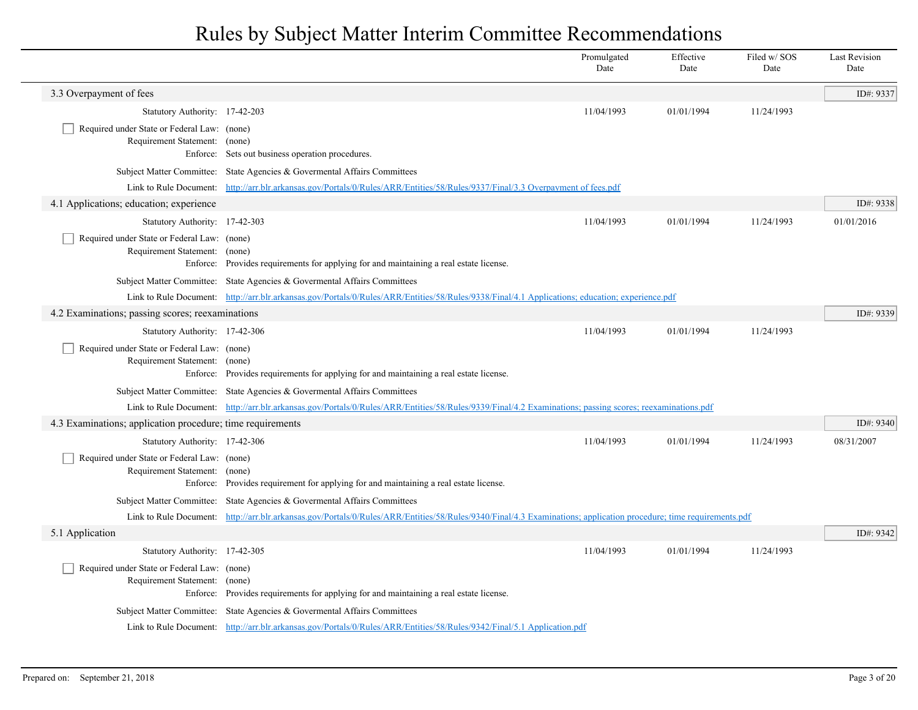|                                                                              |                                                                                                                                                                    | Promulgated<br>Date | Effective<br>Date | Filed w/SOS<br>Date | <b>Last Revision</b><br>Date |
|------------------------------------------------------------------------------|--------------------------------------------------------------------------------------------------------------------------------------------------------------------|---------------------|-------------------|---------------------|------------------------------|
| 3.3 Overpayment of fees                                                      |                                                                                                                                                                    |                     |                   |                     | ID#: 9337                    |
| Statutory Authority: 17-42-203                                               |                                                                                                                                                                    | 11/04/1993          | 01/01/1994        | 11/24/1993          |                              |
| Required under State or Federal Law: (none)<br>Requirement Statement: (none) | Enforce: Sets out business operation procedures.                                                                                                                   |                     |                   |                     |                              |
|                                                                              | Subject Matter Committee: State Agencies & Governental Affairs Committees                                                                                          |                     |                   |                     |                              |
|                                                                              | Link to Rule Document: http://arr.blr.arkansas.gov/Portals/0/Rules/ARR/Entities/58/Rules/9337/Final/3.3 Overpayment of fees.pdf                                    |                     |                   |                     |                              |
| 4.1 Applications; education; experience                                      |                                                                                                                                                                    |                     |                   |                     | ID#: 9338                    |
| Statutory Authority: 17-42-303                                               |                                                                                                                                                                    | 11/04/1993          | 01/01/1994        | 11/24/1993          | 01/01/2016                   |
| Required under State or Federal Law: (none)<br>Requirement Statement: (none) | Enforce: Provides requirements for applying for and maintaining a real estate license.                                                                             |                     |                   |                     |                              |
|                                                                              | Subject Matter Committee: State Agencies & Governental Affairs Committees                                                                                          |                     |                   |                     |                              |
|                                                                              | Link to Rule Document: http://arr.blr.arkansas.gov/Portals/0/Rules/ARR/Entities/58/Rules/9338/Final/4.1 Applications; education; experience.pdf                    |                     |                   |                     |                              |
| 4.2 Examinations; passing scores; reexaminations                             |                                                                                                                                                                    |                     |                   |                     | ID#: 9339                    |
| Statutory Authority: 17-42-306                                               |                                                                                                                                                                    | 11/04/1993          | 01/01/1994        | 11/24/1993          |                              |
| Required under State or Federal Law: (none)<br>Requirement Statement: (none) | Enforce: Provides requirements for applying for and maintaining a real estate license.                                                                             |                     |                   |                     |                              |
|                                                                              | Subject Matter Committee: State Agencies & Governental Affairs Committees                                                                                          |                     |                   |                     |                              |
|                                                                              | Link to Rule Document: http://arr.blr.arkansas.gov/Portals/0/Rules/ARR/Entities/58/Rules/9339/Final/4.2 Examinations; passing scores; reexaminations.pdf           |                     |                   |                     |                              |
| 4.3 Examinations; application procedure; time requirements                   |                                                                                                                                                                    |                     |                   |                     | ID#: 9340                    |
| Statutory Authority: 17-42-306                                               |                                                                                                                                                                    | 11/04/1993          | 01/01/1994        | 11/24/1993          | 08/31/2007                   |
| Required under State or Federal Law: (none)<br>Requirement Statement:        | (none)<br>Enforce: Provides requirement for applying for and maintaining a real estate license.                                                                    |                     |                   |                     |                              |
|                                                                              | Subject Matter Committee: State Agencies & Governental Affairs Committees                                                                                          |                     |                   |                     |                              |
|                                                                              | Link to Rule Document: http://arr.blr.arkansas.gov/Portals/0/Rules/ARR/Entities/58/Rules/9340/Final/4.3 Examinations; application procedure; time requirements.pdf |                     |                   |                     |                              |
| 5.1 Application                                                              |                                                                                                                                                                    |                     |                   |                     | ID#: 9342                    |
| Statutory Authority: 17-42-305                                               |                                                                                                                                                                    | 11/04/1993          | 01/01/1994        | 11/24/1993          |                              |
| Required under State or Federal Law: (none)<br>Requirement Statement:        | (none)<br>Enforce: Provides requirements for applying for and maintaining a real estate license.                                                                   |                     |                   |                     |                              |
|                                                                              | Subject Matter Committee: State Agencies & Governental Affairs Committees                                                                                          |                     |                   |                     |                              |
|                                                                              | Link to Rule Document: http://arr.blr.arkansas.gov/Portals/0/Rules/ARR/Entities/58/Rules/9342/Final/5.1 Application.pdf                                            |                     |                   |                     |                              |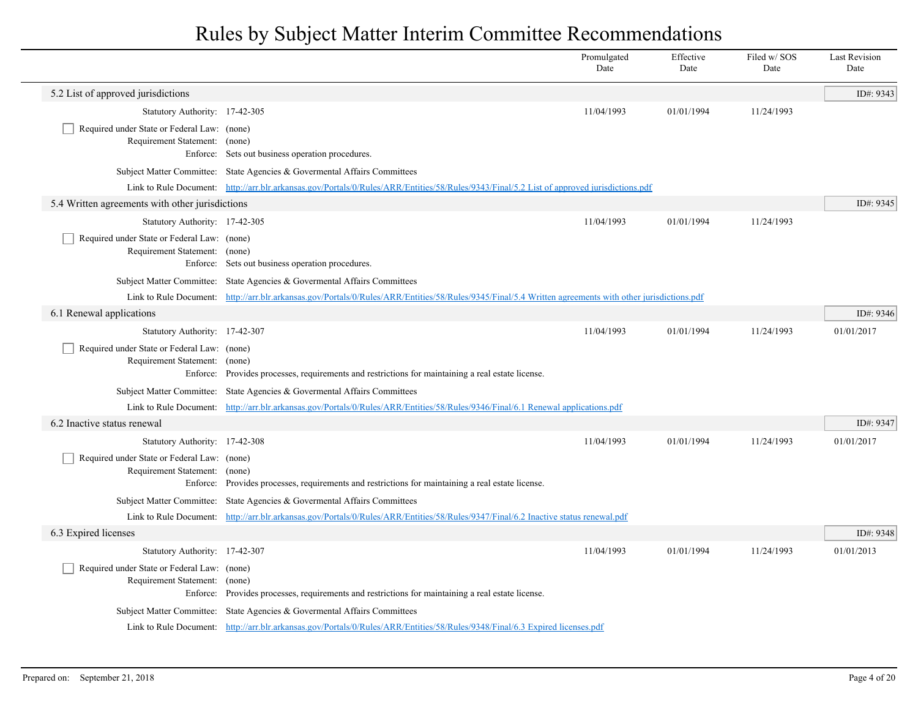| 5.2 List of approved jurisdictions<br>Statutory Authority: 17-42-305<br>Required under State or Federal Law: (none)<br>Requirement Statement: (none)<br>Enforce: Sets out business operation procedures.<br>Subject Matter Committee: State Agencies & Governental Affairs Committees<br>Link to Rule Document: http://arr.blr.arkansas.gov/Portals/0/Rules/ARR/Entities/58/Rules/9343/Final/5.2 List of approved jurisdictions.pdf | 11/04/1993<br>11/04/1993 | 01/01/1994 | 11/24/1993 | ID#: 9343  |
|-------------------------------------------------------------------------------------------------------------------------------------------------------------------------------------------------------------------------------------------------------------------------------------------------------------------------------------------------------------------------------------------------------------------------------------|--------------------------|------------|------------|------------|
|                                                                                                                                                                                                                                                                                                                                                                                                                                     |                          |            |            |            |
|                                                                                                                                                                                                                                                                                                                                                                                                                                     |                          |            |            |            |
|                                                                                                                                                                                                                                                                                                                                                                                                                                     |                          |            |            |            |
|                                                                                                                                                                                                                                                                                                                                                                                                                                     |                          |            |            |            |
|                                                                                                                                                                                                                                                                                                                                                                                                                                     |                          |            |            |            |
| 5.4 Written agreements with other jurisdictions                                                                                                                                                                                                                                                                                                                                                                                     |                          |            |            | ID#: 9345  |
| Statutory Authority: 17-42-305                                                                                                                                                                                                                                                                                                                                                                                                      |                          | 01/01/1994 | 11/24/1993 |            |
| Required under State or Federal Law: (none)<br>Requirement Statement: (none)<br>Enforce: Sets out business operation procedures.                                                                                                                                                                                                                                                                                                    |                          |            |            |            |
| Subject Matter Committee: State Agencies & Governental Affairs Committees                                                                                                                                                                                                                                                                                                                                                           |                          |            |            |            |
| Link to Rule Document: http://arr.blr.arkansas.gov/Portals/0/Rules/ARR/Entities/58/Rules/9345/Final/5.4 Written agreements with other jurisdictions.pdf                                                                                                                                                                                                                                                                             |                          |            |            |            |
| 6.1 Renewal applications                                                                                                                                                                                                                                                                                                                                                                                                            |                          |            |            | ID#: 9346  |
| Statutory Authority: 17-42-307                                                                                                                                                                                                                                                                                                                                                                                                      | 11/04/1993               | 01/01/1994 | 11/24/1993 | 01/01/2017 |
| Required under State or Federal Law: (none)<br>Requirement Statement:<br>(none)<br>Enforce: Provides processes, requirements and restrictions for maintaining a real estate license.                                                                                                                                                                                                                                                |                          |            |            |            |
| Subject Matter Committee: State Agencies & Governental Affairs Committees                                                                                                                                                                                                                                                                                                                                                           |                          |            |            |            |
| Link to Rule Document: http://arr.blr.arkansas.gov/Portals/0/Rules/ARR/Entities/58/Rules/9346/Final/6.1 Renewal applications.pdf                                                                                                                                                                                                                                                                                                    |                          |            |            |            |
| 6.2 Inactive status renewal                                                                                                                                                                                                                                                                                                                                                                                                         |                          |            |            | ID#: 9347  |
| Statutory Authority: 17-42-308                                                                                                                                                                                                                                                                                                                                                                                                      | 11/04/1993               | 01/01/1994 | 11/24/1993 | 01/01/2017 |
| Required under State or Federal Law: (none)<br>Requirement Statement:<br>(none)<br>Provides processes, requirements and restrictions for maintaining a real estate license.<br>Enforce:                                                                                                                                                                                                                                             |                          |            |            |            |
| Subject Matter Committee: State Agencies & Governental Affairs Committees                                                                                                                                                                                                                                                                                                                                                           |                          |            |            |            |
| Link to Rule Document: http://arr.blr.arkansas.gov/Portals/0/Rules/ARR/Entities/58/Rules/9347/Final/6.2 Inactive status renewal.pdf                                                                                                                                                                                                                                                                                                 |                          |            |            |            |
| 6.3 Expired licenses                                                                                                                                                                                                                                                                                                                                                                                                                |                          |            |            | ID#: 9348  |
| Statutory Authority: 17-42-307                                                                                                                                                                                                                                                                                                                                                                                                      | 11/04/1993               | 01/01/1994 | 11/24/1993 | 01/01/2013 |
| Required under State or Federal Law: (none)<br>Requirement Statement:<br>(none)<br>Provides processes, requirements and restrictions for maintaining a real estate license.<br>Enforce:                                                                                                                                                                                                                                             |                          |            |            |            |
| Subject Matter Committee: State Agencies & Governental Affairs Committees                                                                                                                                                                                                                                                                                                                                                           |                          |            |            |            |
| Link to Rule Document: http://arr.blr.arkansas.gov/Portals/0/Rules/ARR/Entities/58/Rules/9348/Final/6.3 Expired licenses.pdf                                                                                                                                                                                                                                                                                                        |                          |            |            |            |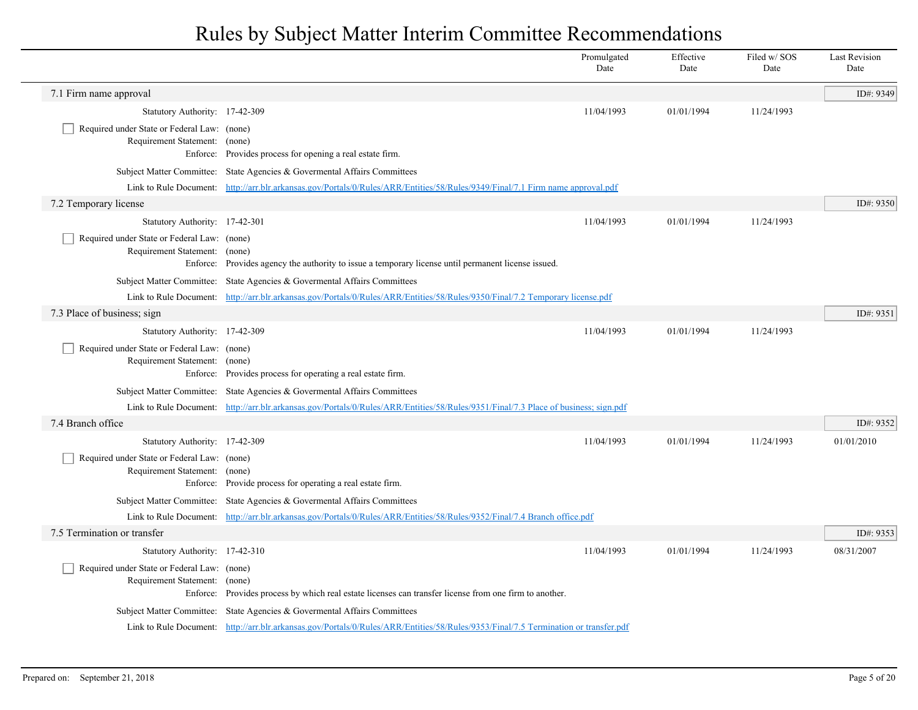|                                                                                          |                                                                                                                                     | Promulgated<br>Date | Effective<br>Date | Filed w/ SOS<br>Date | Last Revision<br>Date |
|------------------------------------------------------------------------------------------|-------------------------------------------------------------------------------------------------------------------------------------|---------------------|-------------------|----------------------|-----------------------|
| 7.1 Firm name approval                                                                   |                                                                                                                                     |                     |                   |                      | ID#: 9349             |
| Statutory Authority: 17-42-309                                                           |                                                                                                                                     | 11/04/1993          | 01/01/1994        | 11/24/1993           |                       |
| Required under State or Federal Law: (none)<br>Requirement Statement:<br>Enforce:        | (none)<br>Provides process for opening a real estate firm.                                                                          |                     |                   |                      |                       |
| <b>Subject Matter Committee:</b>                                                         | State Agencies & Govermental Affairs Committees                                                                                     |                     |                   |                      |                       |
| Link to Rule Document:                                                                   | http://arr.blr.arkansas.gov/Portals/0/Rules/ARR/Entities/58/Rules/9349/Final/7.1 Firm name approval.pdf                             |                     |                   |                      |                       |
| 7.2 Temporary license                                                                    |                                                                                                                                     |                     |                   |                      | ID#: 9350             |
| Statutory Authority: 17-42-301                                                           |                                                                                                                                     | 11/04/1993          | 01/01/1994        | 11/24/1993           |                       |
| Required under State or Federal Law: (none)<br>Requirement Statement: (none)<br>Enforce: | Provides agency the authority to issue a temporary license until permanent license issued.                                          |                     |                   |                      |                       |
|                                                                                          | Subject Matter Committee: State Agencies & Governental Affairs Committees                                                           |                     |                   |                      |                       |
|                                                                                          | Link to Rule Document: http://arr.blr.arkansas.gov/Portals/0/Rules/ARR/Entities/58/Rules/9350/Final/7.2 Temporary license.pdf       |                     |                   |                      |                       |
| 7.3 Place of business; sign                                                              |                                                                                                                                     |                     |                   |                      | ID#: 9351             |
| Statutory Authority: 17-42-309                                                           |                                                                                                                                     | 11/04/1993          | 01/01/1994        | 11/24/1993           |                       |
| Required under State or Federal Law: (none)<br>Requirement Statement: (none)             | Enforce: Provides process for operating a real estate firm.                                                                         |                     |                   |                      |                       |
|                                                                                          | Subject Matter Committee: State Agencies & Governental Affairs Committees                                                           |                     |                   |                      |                       |
|                                                                                          | Link to Rule Document: http://arr.blr.arkansas.gov/Portals/0/Rules/ARR/Entities/58/Rules/9351/Final/7.3 Place of business; sign.pdf |                     |                   |                      |                       |
| 7.4 Branch office                                                                        |                                                                                                                                     |                     |                   |                      | ID#: 9352             |
| Statutory Authority: 17-42-309                                                           |                                                                                                                                     | 11/04/1993          | 01/01/1994        | 11/24/1993           | 01/01/2010            |
| Required under State or Federal Law: (none)<br>Requirement Statement: (none)<br>Enforce: | Provide process for operating a real estate firm.                                                                                   |                     |                   |                      |                       |
|                                                                                          | Subject Matter Committee: State Agencies & Governental Affairs Committees                                                           |                     |                   |                      |                       |
|                                                                                          | Link to Rule Document: http://arr.blr.arkansas.gov/Portals/0/Rules/ARR/Entities/58/Rules/9352/Final/7.4 Branch office.pdf           |                     |                   |                      |                       |
| 7.5 Termination or transfer                                                              |                                                                                                                                     |                     |                   |                      | ID#: 9353             |
| Statutory Authority: 17-42-310                                                           |                                                                                                                                     | 11/04/1993          | 01/01/1994        | 11/24/1993           | 08/31/2007            |
| Required under State or Federal Law: (none)<br>Requirement Statement: (none)             | Enforce: Provides process by which real estate licenses can transfer license from one firm to another.                              |                     |                   |                      |                       |
|                                                                                          | Subject Matter Committee: State Agencies & Governental Affairs Committees                                                           |                     |                   |                      |                       |
|                                                                                          | Link to Rule Document: http://arr.blr.arkansas.gov/Portals/0/Rules/ARR/Entities/58/Rules/9353/Final/7.5 Termination or transfer.pdf |                     |                   |                      |                       |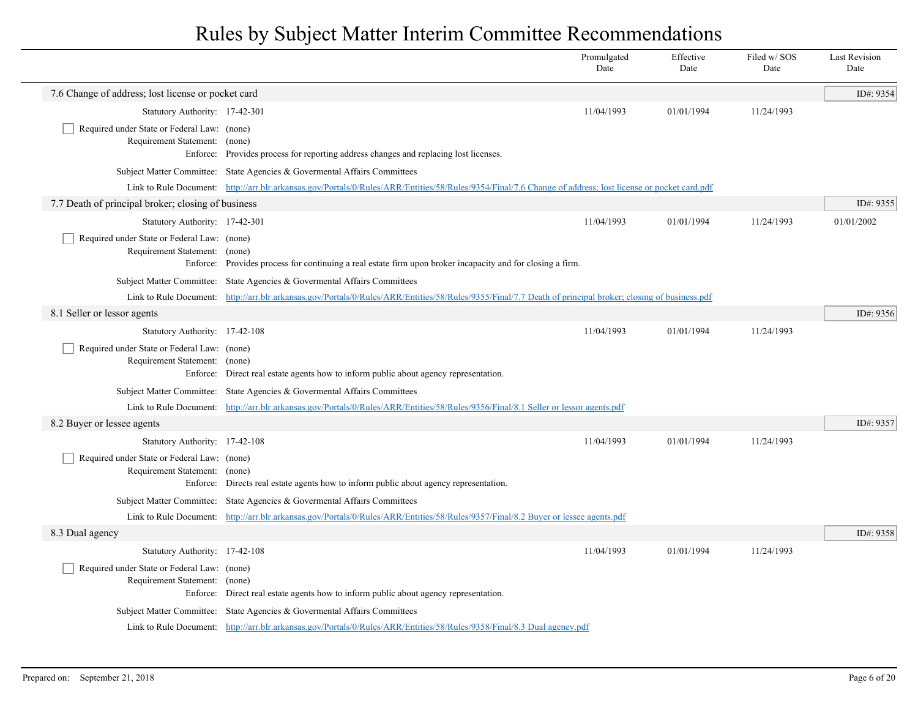|                                                                                          |                                                                                                                                                            | Promulgated<br>Date | Effective<br>Date | Filed w/ SOS<br>Date | <b>Last Revision</b><br>Date |
|------------------------------------------------------------------------------------------|------------------------------------------------------------------------------------------------------------------------------------------------------------|---------------------|-------------------|----------------------|------------------------------|
| 7.6 Change of address; lost license or pocket card                                       |                                                                                                                                                            |                     |                   |                      | ID#: 9354                    |
| Statutory Authority: 17-42-301                                                           |                                                                                                                                                            | 11/04/1993          | 01/01/1994        | 11/24/1993           |                              |
| Required under State or Federal Law: (none)<br>Requirement Statement: (none)<br>Enforce: | Provides process for reporting address changes and replacing lost licenses.                                                                                |                     |                   |                      |                              |
|                                                                                          | Subject Matter Committee: State Agencies & Governental Affairs Committees                                                                                  |                     |                   |                      |                              |
|                                                                                          | Link to Rule Document: http://arr.blr.arkansas.gov/Portals/0/Rules/ARR/Entities/58/Rules/9354/Final/7.6 Change of address; lost license or pocket card.pdf |                     |                   |                      |                              |
| 7.7 Death of principal broker; closing of business                                       |                                                                                                                                                            |                     |                   |                      | ID#: 9355                    |
| Statutory Authority: 17-42-301                                                           |                                                                                                                                                            | 11/04/1993          | 01/01/1994        | 11/24/1993           | 01/01/2002                   |
| Required under State or Federal Law: (none)<br>Requirement Statement: (none)<br>Enforce: | Provides process for continuing a real estate firm upon broker incapacity and for closing a firm.                                                          |                     |                   |                      |                              |
|                                                                                          | Subject Matter Committee: State Agencies & Governental Affairs Committees                                                                                  |                     |                   |                      |                              |
|                                                                                          | Link to Rule Document: http://arr.blr.arkansas.gov/Portals/0/Rules/ARR/Entities/58/Rules/9355/Final/7.7 Death of principal broker; closing of business.pdf |                     |                   |                      |                              |
| 8.1 Seller or lessor agents                                                              |                                                                                                                                                            |                     |                   |                      | ID#: 9356                    |
| Statutory Authority: 17-42-108                                                           |                                                                                                                                                            | 11/04/1993          | 01/01/1994        | 11/24/1993           |                              |
| Required under State or Federal Law: (none)<br>Requirement Statement: (none)<br>Enforce: | Direct real estate agents how to inform public about agency representation.                                                                                |                     |                   |                      |                              |
|                                                                                          | Subject Matter Committee: State Agencies & Governental Affairs Committees                                                                                  |                     |                   |                      |                              |
|                                                                                          | Link to Rule Document: http://arr.blr.arkansas.gov/Portals/0/Rules/ARR/Entities/58/Rules/9356/Final/8.1 Seller or lessor agents.pdf                        |                     |                   |                      |                              |
| 8.2 Buyer or lessee agents                                                               |                                                                                                                                                            |                     |                   |                      | ID#: 9357                    |
| Statutory Authority: 17-42-108                                                           |                                                                                                                                                            | 11/04/1993          | 01/01/1994        | 11/24/1993           |                              |
| Required under State or Federal Law: (none)<br>Requirement Statement: (none)<br>Enforce: | Directs real estate agents how to inform public about agency representation.                                                                               |                     |                   |                      |                              |
|                                                                                          | Subject Matter Committee: State Agencies & Governental Affairs Committees                                                                                  |                     |                   |                      |                              |
|                                                                                          | Link to Rule Document: http://arr.blr.arkansas.gov/Portals/0/Rules/ARR/Entities/58/Rules/9357/Final/8.2 Buyer or lessee agents.pdf                         |                     |                   |                      |                              |
| 8.3 Dual agency                                                                          |                                                                                                                                                            |                     |                   |                      | ID#: 9358                    |
| Statutory Authority: 17-42-108                                                           |                                                                                                                                                            | 11/04/1993          | 01/01/1994        | 11/24/1993           |                              |
| Required under State or Federal Law: (none)<br>Requirement Statement: (none)             | Enforce: Direct real estate agents how to inform public about agency representation.                                                                       |                     |                   |                      |                              |
|                                                                                          | Subject Matter Committee: State Agencies & Govermental Affairs Committees                                                                                  |                     |                   |                      |                              |
|                                                                                          | Link to Rule Document: http://arr.blr.arkansas.gov/Portals/0/Rules/ARR/Entities/58/Rules/9358/Final/8.3 Dual agency.pdf                                    |                     |                   |                      |                              |
|                                                                                          |                                                                                                                                                            |                     |                   |                      |                              |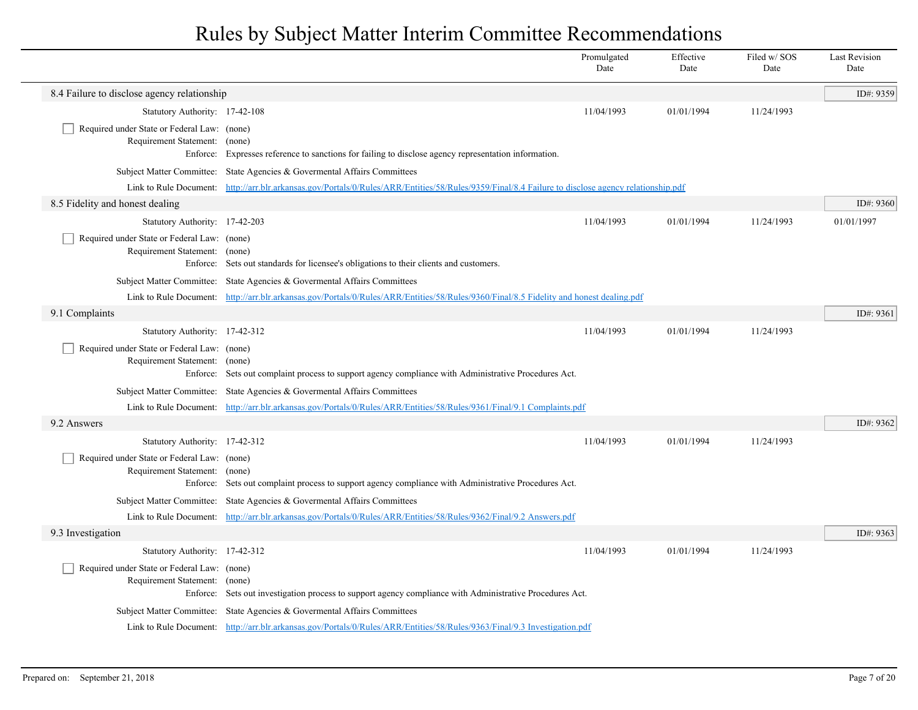|                                                                                          |                                                                                                                                                     | Promulgated<br>Date | Effective<br>Date | Filed w/ SOS<br>Date | <b>Last Revision</b><br>Date |
|------------------------------------------------------------------------------------------|-----------------------------------------------------------------------------------------------------------------------------------------------------|---------------------|-------------------|----------------------|------------------------------|
| 8.4 Failure to disclose agency relationship                                              |                                                                                                                                                     |                     |                   |                      | ID#: 9359                    |
| Statutory Authority: 17-42-108                                                           |                                                                                                                                                     | 11/04/1993          | 01/01/1994        | 11/24/1993           |                              |
| Required under State or Federal Law: (none)<br>Requirement Statement: (none)<br>Enforce: | Expresses reference to sanctions for failing to disclose agency representation information.                                                         |                     |                   |                      |                              |
|                                                                                          | Subject Matter Committee: State Agencies & Governental Affairs Committees                                                                           |                     |                   |                      |                              |
|                                                                                          | Link to Rule Document: http://arr.blr.arkansas.gov/Portals/0/Rules/ARR/Entities/58/Rules/9359/Final/8.4 Failure to disclose agency relationship.pdf |                     |                   |                      |                              |
| 8.5 Fidelity and honest dealing                                                          |                                                                                                                                                     |                     |                   |                      | ID#: $9360$                  |
| Statutory Authority: 17-42-203                                                           |                                                                                                                                                     | 11/04/1993          | 01/01/1994        | 11/24/1993           | 01/01/1997                   |
| Required under State or Federal Law: (none)<br>Requirement Statement: (none)             | Enforce: Sets out standards for licensee's obligations to their clients and customers.                                                              |                     |                   |                      |                              |
|                                                                                          | Subject Matter Committee: State Agencies & Governental Affairs Committees                                                                           |                     |                   |                      |                              |
|                                                                                          | Link to Rule Document: http://arr.blr.arkansas.gov/Portals/0/Rules/ARR/Entities/58/Rules/9360/Final/8.5 Fidelity and honest dealing.pdf             |                     |                   |                      |                              |
| 9.1 Complaints                                                                           |                                                                                                                                                     |                     |                   |                      | ID#: 9361                    |
| Statutory Authority: 17-42-312                                                           |                                                                                                                                                     | 11/04/1993          | 01/01/1994        | 11/24/1993           |                              |
| Required under State or Federal Law: (none)<br>Requirement Statement:                    | (none)<br>Enforce: Sets out complaint process to support agency compliance with Administrative Procedures Act.                                      |                     |                   |                      |                              |
|                                                                                          | Subject Matter Committee: State Agencies & Governental Affairs Committees                                                                           |                     |                   |                      |                              |
|                                                                                          | Link to Rule Document: http://arr.blr.arkansas.gov/Portals/0/Rules/ARR/Entities/58/Rules/9361/Final/9.1 Complaints.pdf                              |                     |                   |                      |                              |
| 9.2 Answers                                                                              |                                                                                                                                                     |                     |                   |                      | ID#: 9362                    |
| Statutory Authority: 17-42-312                                                           |                                                                                                                                                     | 11/04/1993          | 01/01/1994        | 11/24/1993           |                              |
| Required under State or Federal Law: (none)<br>Requirement Statement:                    | (none)<br>Enforce: Sets out complaint process to support agency compliance with Administrative Procedures Act.                                      |                     |                   |                      |                              |
|                                                                                          | Subject Matter Committee: State Agencies & Governental Affairs Committees                                                                           |                     |                   |                      |                              |
|                                                                                          | Link to Rule Document: http://arr.blr.arkansas.gov/Portals/0/Rules/ARR/Entities/58/Rules/9362/Final/9.2 Answers.pdf                                 |                     |                   |                      |                              |
| 9.3 Investigation                                                                        |                                                                                                                                                     |                     |                   |                      | ID#: 9363                    |
| Statutory Authority: 17-42-312                                                           |                                                                                                                                                     | 11/04/1993          | 01/01/1994        | 11/24/1993           |                              |
| Required under State or Federal Law: (none)<br>Requirement Statement:                    | (none)<br>Enforce: Sets out investigation process to support agency compliance with Administrative Procedures Act.                                  |                     |                   |                      |                              |
|                                                                                          | Subject Matter Committee: State Agencies & Governental Affairs Committees                                                                           |                     |                   |                      |                              |
|                                                                                          | Link to Rule Document: http://arr.blr.arkansas.gov/Portals/0/Rules/ARR/Entities/58/Rules/9363/Final/9.3 Investigation.pdf                           |                     |                   |                      |                              |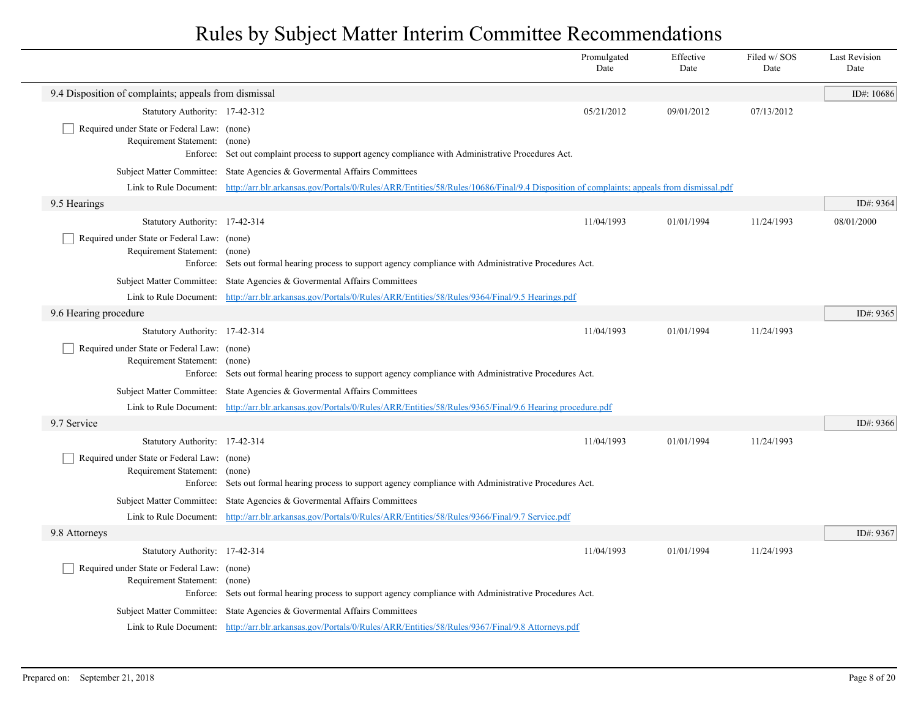|                                                                              |                                                                                                                                                                | Promulgated<br>Date | Effective<br>Date | Filed w/SOS<br>Date | <b>Last Revision</b><br>Date |
|------------------------------------------------------------------------------|----------------------------------------------------------------------------------------------------------------------------------------------------------------|---------------------|-------------------|---------------------|------------------------------|
| 9.4 Disposition of complaints; appeals from dismissal                        |                                                                                                                                                                |                     |                   |                     | ID#: $10686$                 |
| Statutory Authority: 17-42-312                                               |                                                                                                                                                                | 05/21/2012          | 09/01/2012        | 07/13/2012          |                              |
| Required under State or Federal Law: (none)<br>Requirement Statement: (none) | Enforce: Set out complaint process to support agency compliance with Administrative Procedures Act.                                                            |                     |                   |                     |                              |
|                                                                              | Subject Matter Committee: State Agencies & Governental Affairs Committees                                                                                      |                     |                   |                     |                              |
|                                                                              | Link to Rule Document: http://arr.blr.arkansas.gov/Portals/0/Rules/ARR/Entities/58/Rules/10686/Final/9.4 Disposition of complaints; appeals from dismissal.pdf |                     |                   |                     |                              |
| 9.5 Hearings                                                                 |                                                                                                                                                                |                     |                   |                     | ID#: 9364                    |
| Statutory Authority: 17-42-314                                               |                                                                                                                                                                | 11/04/1993          | 01/01/1994        | 11/24/1993          | 08/01/2000                   |
| Required under State or Federal Law: (none)<br>Requirement Statement: (none) | Enforce: Sets out formal hearing process to support agency compliance with Administrative Procedures Act.                                                      |                     |                   |                     |                              |
|                                                                              | Subject Matter Committee: State Agencies & Governental Affairs Committees                                                                                      |                     |                   |                     |                              |
|                                                                              | Link to Rule Document: http://arr.blr.arkansas.gov/Portals/0/Rules/ARR/Entities/58/Rules/9364/Final/9.5 Hearings.pdf                                           |                     |                   |                     |                              |
| 9.6 Hearing procedure                                                        |                                                                                                                                                                |                     |                   |                     | ID#: 9365                    |
| Statutory Authority: 17-42-314                                               |                                                                                                                                                                | 11/04/1993          | 01/01/1994        | 11/24/1993          |                              |
| Required under State or Federal Law: (none)<br>Requirement Statement: (none) | Enforce: Sets out formal hearing process to support agency compliance with Administrative Procedures Act.                                                      |                     |                   |                     |                              |
|                                                                              | Subject Matter Committee: State Agencies & Governental Affairs Committees                                                                                      |                     |                   |                     |                              |
|                                                                              | Link to Rule Document: http://arr.blr.arkansas.gov/Portals/0/Rules/ARR/Entities/58/Rules/9365/Final/9.6 Hearing procedure.pdf                                  |                     |                   |                     |                              |
| 9.7 Service                                                                  |                                                                                                                                                                |                     |                   |                     | ID#: 9366                    |
| Statutory Authority: 17-42-314                                               |                                                                                                                                                                | 11/04/1993          | 01/01/1994        | 11/24/1993          |                              |
| Required under State or Federal Law: (none)<br>Requirement Statement: (none) | Enforce: Sets out formal hearing process to support agency compliance with Administrative Procedures Act.                                                      |                     |                   |                     |                              |
|                                                                              | Subject Matter Committee: State Agencies & Govermental Affairs Committees                                                                                      |                     |                   |                     |                              |
|                                                                              | Link to Rule Document: http://arr.blr.arkansas.gov/Portals/0/Rules/ARR/Entities/58/Rules/9366/Final/9.7 Service.pdf                                            |                     |                   |                     |                              |
| 9.8 Attorneys                                                                |                                                                                                                                                                |                     |                   |                     | ID#: $9367$                  |
| Statutory Authority: 17-42-314                                               |                                                                                                                                                                | 11/04/1993          | 01/01/1994        | 11/24/1993          |                              |
| Required under State or Federal Law: (none)<br>Requirement Statement:        | (none)<br>Enforce: Sets out formal hearing process to support agency compliance with Administrative Procedures Act.                                            |                     |                   |                     |                              |
|                                                                              | Subject Matter Committee: State Agencies & Govermental Affairs Committees                                                                                      |                     |                   |                     |                              |
|                                                                              | Link to Rule Document: http://arr.blr.arkansas.gov/Portals/0/Rules/ARR/Entities/58/Rules/9367/Final/9.8 Attorneys.pdf                                          |                     |                   |                     |                              |
|                                                                              |                                                                                                                                                                |                     |                   |                     |                              |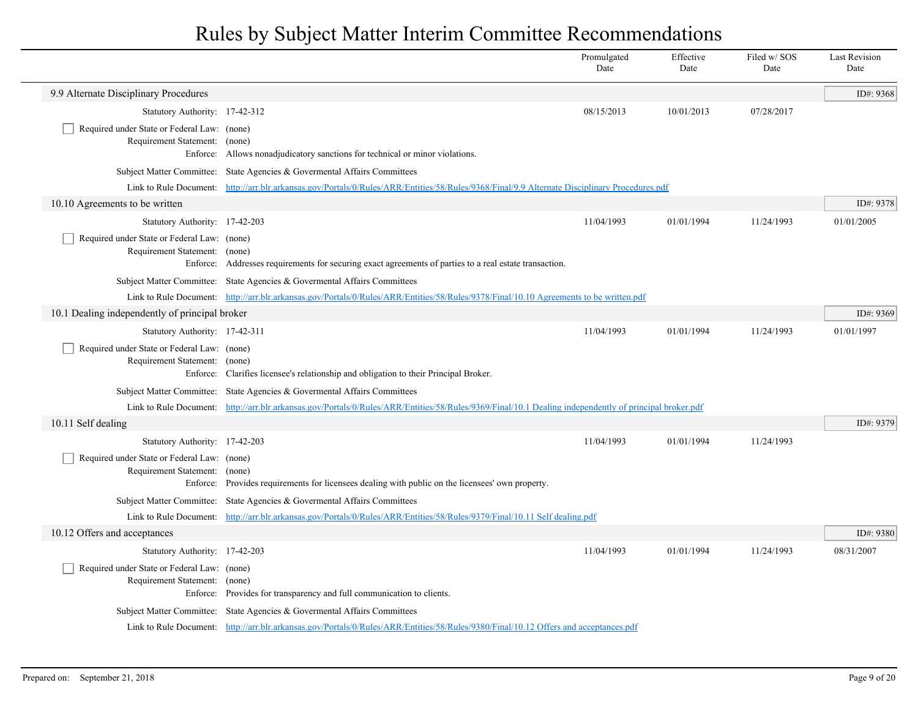|                                                                                   |                                                                                                                                                        | Promulgated<br>Date | Effective<br>Date | Filed w/SOS<br>Date | <b>Last Revision</b><br>Date |
|-----------------------------------------------------------------------------------|--------------------------------------------------------------------------------------------------------------------------------------------------------|---------------------|-------------------|---------------------|------------------------------|
| 9.9 Alternate Disciplinary Procedures                                             |                                                                                                                                                        |                     |                   |                     | ID#: 9368                    |
| Statutory Authority: 17-42-312                                                    |                                                                                                                                                        | 08/15/2013          | 10/01/2013        | 07/28/2017          |                              |
| Required under State or Federal Law: (none)<br>Requirement Statement: (none)      | Enforce: Allows nonadjudicatory sanctions for technical or minor violations.                                                                           |                     |                   |                     |                              |
|                                                                                   | Subject Matter Committee: State Agencies & Governental Affairs Committees                                                                              |                     |                   |                     |                              |
|                                                                                   | Link to Rule Document: http://arr.blr.arkansas.gov/Portals/0/Rules/ARR/Entities/58/Rules/9368/Final/9.9 Alternate Disciplinary Procedures.pdf          |                     |                   |                     |                              |
| 10.10 Agreements to be written                                                    |                                                                                                                                                        |                     |                   |                     | ID#: 9378                    |
| Statutory Authority: 17-42-203                                                    |                                                                                                                                                        | 11/04/1993          | 01/01/1994        | 11/24/1993          | 01/01/2005                   |
| Required under State or Federal Law: (none)<br>Requirement Statement: (none)      | Enforce: Addresses requirements for securing exact agreements of parties to a real estate transaction.                                                 |                     |                   |                     |                              |
|                                                                                   | Subject Matter Committee: State Agencies & Governental Affairs Committees                                                                              |                     |                   |                     |                              |
|                                                                                   | Link to Rule Document: http://arr.blr.arkansas.gov/Portals/0/Rules/ARR/Entities/58/Rules/9378/Final/10.10 Agreements to be written.pdf                 |                     |                   |                     |                              |
| 10.1 Dealing independently of principal broker                                    |                                                                                                                                                        |                     |                   |                     | ID#: 9369                    |
| Statutory Authority: 17-42-311                                                    |                                                                                                                                                        | 11/04/1993          | 01/01/1994        | 11/24/1993          | 01/01/1997                   |
| Required under State or Federal Law: (none)<br>Requirement Statement: (none)      | Enforce: Clarifies licensee's relationship and obligation to their Principal Broker.                                                                   |                     |                   |                     |                              |
|                                                                                   | Subject Matter Committee: State Agencies & Governental Affairs Committees                                                                              |                     |                   |                     |                              |
|                                                                                   | Link to Rule Document: http://arr.blr.arkansas.gov/Portals/0/Rules/ARR/Entities/58/Rules/9369/Final/10.1 Dealing independently of principal broker.pdf |                     |                   |                     |                              |
| 10.11 Self dealing                                                                |                                                                                                                                                        |                     |                   |                     | ID#: 9379                    |
| Statutory Authority: 17-42-203                                                    |                                                                                                                                                        | 11/04/1993          | 01/01/1994        | 11/24/1993          |                              |
| Required under State or Federal Law: (none)<br>Requirement Statement:<br>Enforce: | (none)<br>Provides requirements for licensees dealing with public on the licensees' own property.                                                      |                     |                   |                     |                              |
|                                                                                   | Subject Matter Committee: State Agencies & Governental Affairs Committees                                                                              |                     |                   |                     |                              |
|                                                                                   | Link to Rule Document: http://arr.blr.arkansas.gov/Portals/0/Rules/ARR/Entities/58/Rules/9379/Final/10.11 Self dealing.pdf                             |                     |                   |                     |                              |
| 10.12 Offers and acceptances                                                      |                                                                                                                                                        |                     |                   |                     | ID#: 9380                    |
| Statutory Authority: 17-42-203                                                    |                                                                                                                                                        | 11/04/1993          | 01/01/1994        | 11/24/1993          | 08/31/2007                   |
| Required under State or Federal Law: (none)<br>Requirement Statement: (none)      | Enforce: Provides for transparency and full communication to clients.                                                                                  |                     |                   |                     |                              |
|                                                                                   | Subject Matter Committee: State Agencies & Governental Affairs Committees                                                                              |                     |                   |                     |                              |
|                                                                                   | Link to Rule Document: http://arr.blr.arkansas.gov/Portals/0/Rules/ARR/Entities/58/Rules/9380/Final/10.12 Offers and acceptances.pdf                   |                     |                   |                     |                              |
|                                                                                   |                                                                                                                                                        |                     |                   |                     |                              |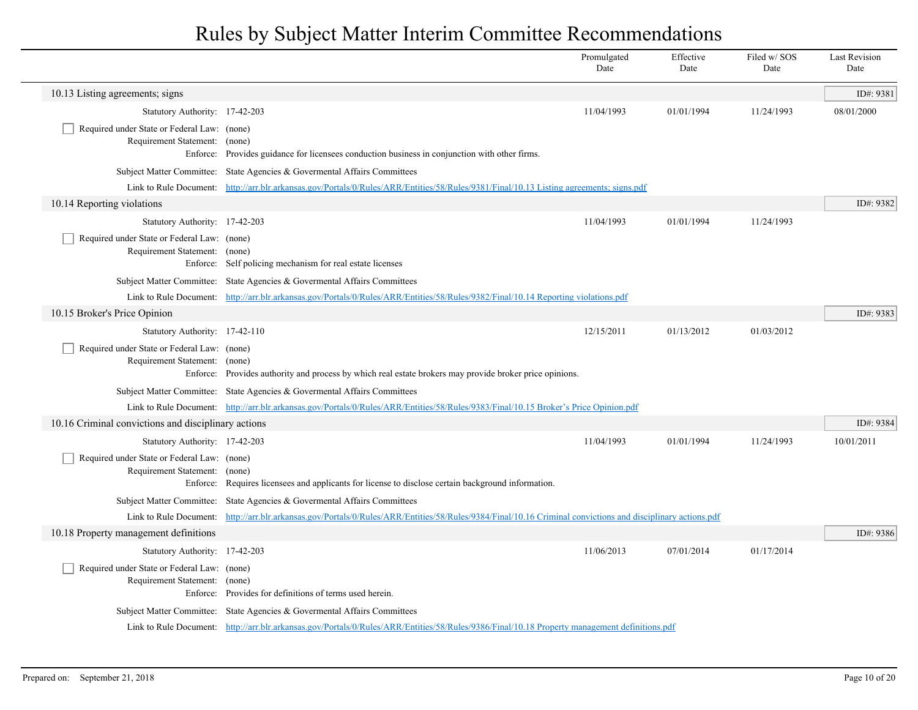|  |                                                                              |                                                                                                                                                             | Promulgated<br>Date | Effective<br>Date | Filed w/SOS<br>Date | <b>Last Revision</b><br>Date |
|--|------------------------------------------------------------------------------|-------------------------------------------------------------------------------------------------------------------------------------------------------------|---------------------|-------------------|---------------------|------------------------------|
|  | 10.13 Listing agreements; signs                                              |                                                                                                                                                             |                     |                   |                     | ID#: 9381                    |
|  | Statutory Authority: 17-42-203                                               |                                                                                                                                                             | 11/04/1993          | 01/01/1994        | 11/24/1993          | 08/01/2000                   |
|  | Required under State or Federal Law: (none)<br>Requirement Statement: (none) | Enforce: Provides guidance for licensees conduction business in conjunction with other firms.                                                               |                     |                   |                     |                              |
|  |                                                                              | Subject Matter Committee: State Agencies & Governental Affairs Committees                                                                                   |                     |                   |                     |                              |
|  |                                                                              | Link to Rule Document: http://arr.blr.arkansas.gov/Portals/0/Rules/ARR/Entities/58/Rules/9381/Final/10.13 Listing agreements; signs.pdf                     |                     |                   |                     |                              |
|  | 10.14 Reporting violations                                                   |                                                                                                                                                             |                     |                   |                     | ID#: 9382                    |
|  | Statutory Authority: 17-42-203                                               |                                                                                                                                                             | 11/04/1993          | 01/01/1994        | 11/24/1993          |                              |
|  | Required under State or Federal Law: (none)<br>Requirement Statement: (none) | Enforce: Self policing mechanism for real estate licenses                                                                                                   |                     |                   |                     |                              |
|  |                                                                              | Subject Matter Committee: State Agencies & Governental Affairs Committees                                                                                   |                     |                   |                     |                              |
|  |                                                                              | Link to Rule Document: http://arr.blr.arkansas.gov/Portals/0/Rules/ARR/Entities/58/Rules/9382/Final/10.14 Reporting violations.pdf                          |                     |                   |                     |                              |
|  | 10.15 Broker's Price Opinion                                                 |                                                                                                                                                             |                     |                   |                     | ID#: 9383                    |
|  | Statutory Authority: 17-42-110                                               |                                                                                                                                                             | 12/15/2011          | 01/13/2012        | 01/03/2012          |                              |
|  | Required under State or Federal Law: (none)<br>Requirement Statement: (none) | Enforce: Provides authority and process by which real estate brokers may provide broker price opinions.                                                     |                     |                   |                     |                              |
|  |                                                                              | Subject Matter Committee: State Agencies & Governental Affairs Committees                                                                                   |                     |                   |                     |                              |
|  |                                                                              | Link to Rule Document: http://arr.blr.arkansas.gov/Portals/0/Rules/ARR/Entities/58/Rules/9383/Final/10.15 Broker's Price Opinion.pdf                        |                     |                   |                     |                              |
|  | 10.16 Criminal convictions and disciplinary actions                          |                                                                                                                                                             |                     |                   |                     | ID#: 9384                    |
|  | Statutory Authority: 17-42-203                                               |                                                                                                                                                             | 11/04/1993          | 01/01/1994        | 11/24/1993          | 10/01/2011                   |
|  | Required under State or Federal Law: (none)<br>Requirement Statement: (none) | Enforce: Requires licensees and applicants for license to disclose certain background information.                                                          |                     |                   |                     |                              |
|  |                                                                              | Subject Matter Committee: State Agencies & Governental Affairs Committees                                                                                   |                     |                   |                     |                              |
|  |                                                                              | Link to Rule Document: http://arr.blr.arkansas.gov/Portals/0/Rules/ARR/Entities/58/Rules/9384/Final/10.16 Criminal convictions and disciplinary actions.pdf |                     |                   |                     |                              |
|  | 10.18 Property management definitions                                        |                                                                                                                                                             |                     |                   |                     | ID#: 9386                    |
|  | Statutory Authority: 17-42-203                                               |                                                                                                                                                             | 11/06/2013          | 07/01/2014        | 01/17/2014          |                              |
|  | Required under State or Federal Law: (none)<br>Requirement Statement: (none) | Enforce: Provides for definitions of terms used herein.                                                                                                     |                     |                   |                     |                              |
|  |                                                                              | Subject Matter Committee: State Agencies & Governental Affairs Committees                                                                                   |                     |                   |                     |                              |
|  |                                                                              | Link to Rule Document: http://arr.blr.arkansas.gov/Portals/0/Rules/ARR/Entities/58/Rules/9386/Final/10.18 Property management definitions.pdf               |                     |                   |                     |                              |
|  |                                                                              |                                                                                                                                                             |                     |                   |                     |                              |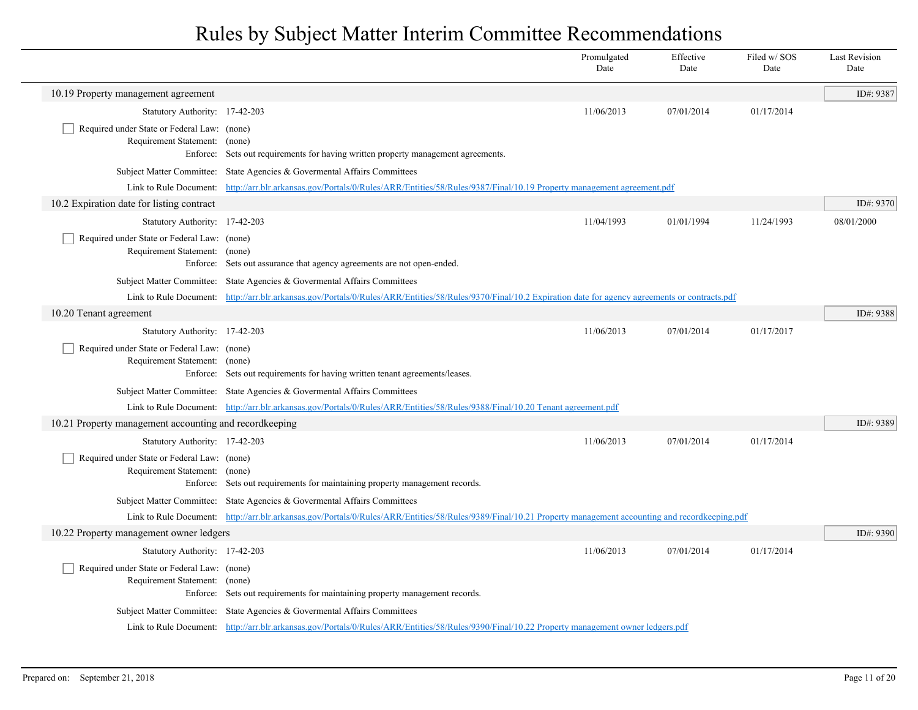|  |                                                                              |                                                                                                                                                                 | Promulgated<br>Date | Effective<br>Date | Filed w/SOS<br>Date | <b>Last Revision</b><br>Date |
|--|------------------------------------------------------------------------------|-----------------------------------------------------------------------------------------------------------------------------------------------------------------|---------------------|-------------------|---------------------|------------------------------|
|  | 10.19 Property management agreement                                          |                                                                                                                                                                 |                     |                   |                     | ID#: 9387                    |
|  | Statutory Authority: 17-42-203                                               |                                                                                                                                                                 | 11/06/2013          | 07/01/2014        | 01/17/2014          |                              |
|  | Required under State or Federal Law: (none)                                  |                                                                                                                                                                 |                     |                   |                     |                              |
|  | Requirement Statement: (none)                                                | Enforce: Sets out requirements for having written property management agreements.                                                                               |                     |                   |                     |                              |
|  |                                                                              | Subject Matter Committee: State Agencies & Governental Affairs Committees                                                                                       |                     |                   |                     |                              |
|  |                                                                              | Link to Rule Document: http://arr.blr.arkansas.gov/Portals/0/Rules/ARR/Entities/58/Rules/9387/Final/10.19 Property management agreement.pdf                     |                     |                   |                     |                              |
|  | 10.2 Expiration date for listing contract                                    |                                                                                                                                                                 |                     |                   |                     | ID#: 9370                    |
|  | Statutory Authority: 17-42-203                                               |                                                                                                                                                                 | 11/04/1993          | 01/01/1994        | 11/24/1993          | 08/01/2000                   |
|  | Required under State or Federal Law: (none)                                  |                                                                                                                                                                 |                     |                   |                     |                              |
|  | Requirement Statement: (none)                                                |                                                                                                                                                                 |                     |                   |                     |                              |
|  |                                                                              | Enforce: Sets out assurance that agency agreements are not open-ended.                                                                                          |                     |                   |                     |                              |
|  |                                                                              | Subject Matter Committee: State Agencies & Govermental Affairs Committees                                                                                       |                     |                   |                     |                              |
|  |                                                                              | Link to Rule Document: http://arr.blr.arkansas.gov/Portals/0/Rules/ARR/Entities/58/Rules/9370/Final/10.2 Expiration date for agency agreements or contracts.pdf |                     |                   |                     |                              |
|  | 10.20 Tenant agreement                                                       |                                                                                                                                                                 |                     |                   |                     | ID#: 9388                    |
|  | Statutory Authority: 17-42-203                                               |                                                                                                                                                                 | 11/06/2013          | 07/01/2014        | 01/17/2017          |                              |
|  | Required under State or Federal Law: (none)                                  |                                                                                                                                                                 |                     |                   |                     |                              |
|  | Requirement Statement: (none)                                                | Enforce: Sets out requirements for having written tenant agreements/leases.                                                                                     |                     |                   |                     |                              |
|  |                                                                              | Subject Matter Committee: State Agencies & Govermental Affairs Committees                                                                                       |                     |                   |                     |                              |
|  |                                                                              | Link to Rule Document: http://arr.blr.arkansas.gov/Portals/0/Rules/ARR/Entities/58/Rules/9388/Final/10.20 Tenant agreement.pdf                                  |                     |                   |                     |                              |
|  | 10.21 Property management accounting and recordkeeping                       |                                                                                                                                                                 |                     |                   |                     | ID#: 9389                    |
|  | Statutory Authority: 17-42-203                                               |                                                                                                                                                                 | 11/06/2013          | 07/01/2014        | 01/17/2014          |                              |
|  | Required under State or Federal Law: (none)                                  |                                                                                                                                                                 |                     |                   |                     |                              |
|  | Requirement Statement: (none)                                                |                                                                                                                                                                 |                     |                   |                     |                              |
|  |                                                                              | Enforce: Sets out requirements for maintaining property management records.                                                                                     |                     |                   |                     |                              |
|  |                                                                              | Subject Matter Committee: State Agencies & Governental Affairs Committees                                                                                       |                     |                   |                     |                              |
|  |                                                                              | Link to Rule Document: http://arr.blr.arkansas.gov/Portals/0/Rules/ARR/Entities/58/Rules/9389/Final/10.21 Property management accounting and recordkeeping.pdf  |                     |                   |                     |                              |
|  | 10.22 Property management owner ledgers                                      |                                                                                                                                                                 |                     |                   |                     | ID#: 9390                    |
|  | Statutory Authority: 17-42-203                                               |                                                                                                                                                                 | 11/06/2013          | 07/01/2014        | 01/17/2014          |                              |
|  | Required under State or Federal Law: (none)<br>Requirement Statement: (none) |                                                                                                                                                                 |                     |                   |                     |                              |
|  |                                                                              | Enforce: Sets out requirements for maintaining property management records.                                                                                     |                     |                   |                     |                              |
|  |                                                                              | Subject Matter Committee: State Agencies & Governental Affairs Committees                                                                                       |                     |                   |                     |                              |
|  |                                                                              | Link to Rule Document: http://arr.blr.arkansas.gov/Portals/0/Rules/ARR/Entities/58/Rules/9390/Final/10.22 Property management owner ledgers.pdf                 |                     |                   |                     |                              |
|  |                                                                              |                                                                                                                                                                 |                     |                   |                     |                              |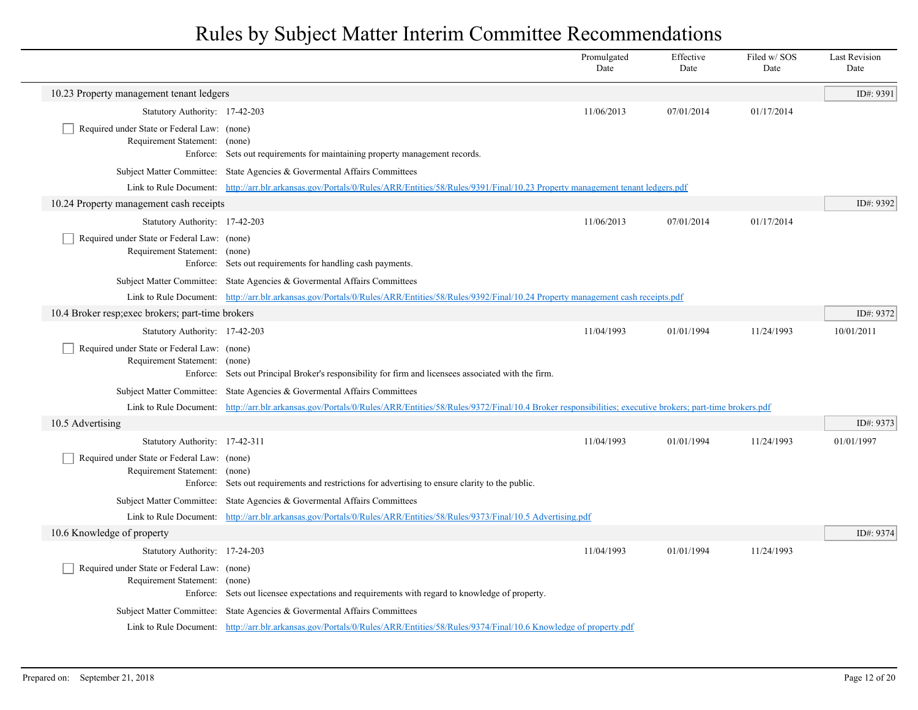|                                                                                   |                                                                                                                                                                            | Promulgated<br>Date | Effective<br>Date | Filed w/ SOS<br>Date | <b>Last Revision</b><br>Date |
|-----------------------------------------------------------------------------------|----------------------------------------------------------------------------------------------------------------------------------------------------------------------------|---------------------|-------------------|----------------------|------------------------------|
| 10.23 Property management tenant ledgers                                          |                                                                                                                                                                            |                     |                   |                      | ID#: 9391                    |
| Statutory Authority: 17-42-203                                                    |                                                                                                                                                                            | 11/06/2013          | 07/01/2014        | 01/17/2014           |                              |
| Required under State or Federal Law: (none)<br>Requirement Statement: (none)      | Enforce: Sets out requirements for maintaining property management records.                                                                                                |                     |                   |                      |                              |
|                                                                                   | Subject Matter Committee: State Agencies & Governental Affairs Committees                                                                                                  |                     |                   |                      |                              |
|                                                                                   | Link to Rule Document: http://arr.blr.arkansas.gov/Portals/0/Rules/ARR/Entities/58/Rules/9391/Final/10.23 Property management tenant ledgers.pdf                           |                     |                   |                      |                              |
| 10.24 Property management cash receipts                                           |                                                                                                                                                                            |                     |                   |                      | ID#: 9392                    |
| Statutory Authority: 17-42-203                                                    |                                                                                                                                                                            | 11/06/2013          | 07/01/2014        | 01/17/2014           |                              |
| Required under State or Federal Law: (none)<br>Requirement Statement: (none)      | Enforce: Sets out requirements for handling cash payments.                                                                                                                 |                     |                   |                      |                              |
|                                                                                   | Subject Matter Committee: State Agencies & Governental Affairs Committees                                                                                                  |                     |                   |                      |                              |
|                                                                                   | Link to Rule Document: http://arr.blr.arkansas.gov/Portals/0/Rules/ARR/Entities/58/Rules/9392/Final/10.24 Property management cash receipts.pdf                            |                     |                   |                      |                              |
| 10.4 Broker resp; exec brokers; part-time brokers                                 |                                                                                                                                                                            |                     |                   |                      | ID#: 9372                    |
| Statutory Authority: 17-42-203                                                    |                                                                                                                                                                            | 11/04/1993          | 01/01/1994        | 11/24/1993           | 10/01/2011                   |
| Required under State or Federal Law: (none)<br>Requirement Statement: (none)      | Enforce: Sets out Principal Broker's responsibility for firm and licensees associated with the firm.                                                                       |                     |                   |                      |                              |
|                                                                                   | Subject Matter Committee: State Agencies & Governental Affairs Committees                                                                                                  |                     |                   |                      |                              |
|                                                                                   | Link to Rule Document: http://arr.blr.arkansas.gov/Portals/0/Rules/ARR/Entities/58/Rules/9372/Final/10.4 Broker responsibilities; executive brokers; part-time brokers.pdf |                     |                   |                      |                              |
| 10.5 Advertising                                                                  |                                                                                                                                                                            |                     |                   |                      | ID#: 9373                    |
| Statutory Authority: 17-42-311                                                    |                                                                                                                                                                            | 11/04/1993          | 01/01/1994        | 11/24/1993           | 01/01/1997                   |
| Required under State or Federal Law: (none)<br>Requirement Statement:<br>Enforce: | (none)<br>Sets out requirements and restrictions for advertising to ensure clarity to the public.                                                                          |                     |                   |                      |                              |
|                                                                                   | Subject Matter Committee: State Agencies & Governental Affairs Committees                                                                                                  |                     |                   |                      |                              |
|                                                                                   | Link to Rule Document: http://arr.blr.arkansas.gov/Portals/0/Rules/ARR/Entities/58/Rules/9373/Final/10.5 Advertising.pdf                                                   |                     |                   |                      |                              |
| 10.6 Knowledge of property                                                        |                                                                                                                                                                            |                     |                   |                      | ID#: 9374                    |
| Statutory Authority: 17-24-203                                                    |                                                                                                                                                                            | 11/04/1993          | 01/01/1994        | 11/24/1993           |                              |
| Required under State or Federal Law: (none)<br>Requirement Statement:             | (none)<br>Enforce: Sets out licensee expectations and requirements with regard to knowledge of property.                                                                   |                     |                   |                      |                              |
|                                                                                   | Subject Matter Committee: State Agencies & Governental Affairs Committees                                                                                                  |                     |                   |                      |                              |
|                                                                                   | Link to Rule Document: http://arr.blr.arkansas.gov/Portals/0/Rules/ARR/Entities/58/Rules/9374/Final/10.6 Knowledge of property.pdf                                         |                     |                   |                      |                              |

 $\overline{\phantom{a}}$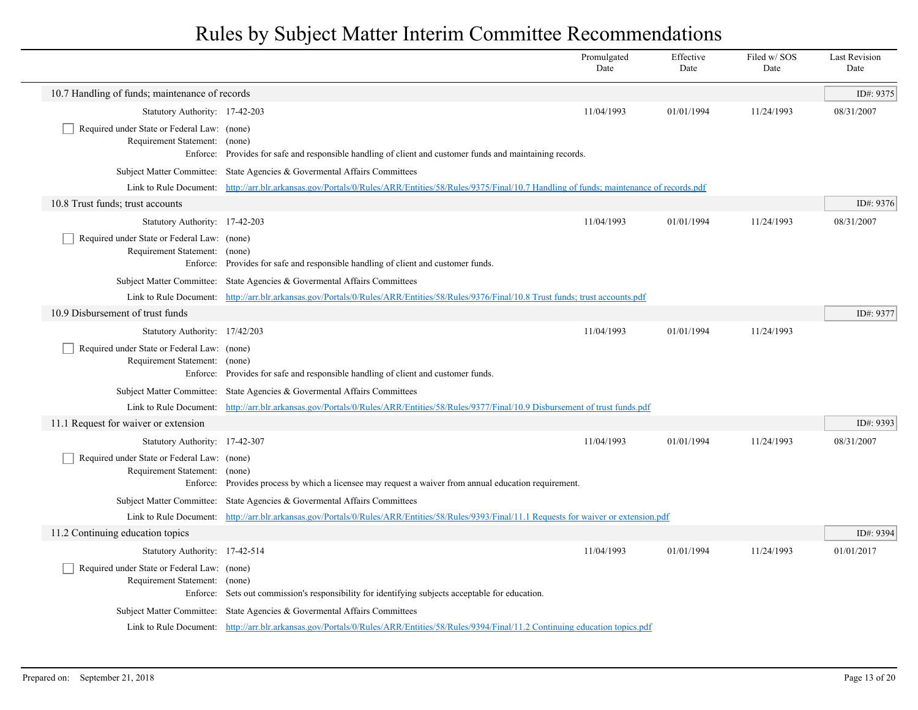|                                                                              |                                                                                                                                                        | Promulgated<br>Date | Effective<br>Date | Filed w/SOS<br>Date | <b>Last Revision</b><br>Date |
|------------------------------------------------------------------------------|--------------------------------------------------------------------------------------------------------------------------------------------------------|---------------------|-------------------|---------------------|------------------------------|
| 10.7 Handling of funds; maintenance of records                               |                                                                                                                                                        |                     |                   |                     | ID#: 9375                    |
| Statutory Authority: 17-42-203                                               |                                                                                                                                                        | 11/04/1993          | 01/01/1994        | 11/24/1993          | 08/31/2007                   |
| Required under State or Federal Law: (none)<br>Requirement Statement: (none) | Enforce: Provides for safe and responsible handling of client and customer funds and maintaining records.                                              |                     |                   |                     |                              |
|                                                                              | Subject Matter Committee: State Agencies & Governental Affairs Committees                                                                              |                     |                   |                     |                              |
|                                                                              | Link to Rule Document: http://arr.blr.arkansas.gov/Portals/0/Rules/ARR/Entities/58/Rules/9375/Final/10.7 Handling of funds; maintenance of records.pdf |                     |                   |                     |                              |
| 10.8 Trust funds; trust accounts                                             |                                                                                                                                                        |                     |                   |                     | ID#: 9376                    |
| Statutory Authority: 17-42-203                                               |                                                                                                                                                        | 11/04/1993          | 01/01/1994        | 11/24/1993          | 08/31/2007                   |
| Required under State or Federal Law: (none)<br>Requirement Statement: (none) | Enforce: Provides for safe and responsible handling of client and customer funds.                                                                      |                     |                   |                     |                              |
|                                                                              | Subject Matter Committee: State Agencies & Governental Affairs Committees                                                                              |                     |                   |                     |                              |
|                                                                              | Link to Rule Document: http://arr.blr.arkansas.gov/Portals/0/Rules/ARR/Entities/58/Rules/9376/Final/10.8 Trust funds; trust accounts.pdf               |                     |                   |                     |                              |
| 10.9 Disbursement of trust funds                                             |                                                                                                                                                        |                     |                   |                     | ID#: 9377                    |
| Statutory Authority: 17/42/203                                               |                                                                                                                                                        | 11/04/1993          | 01/01/1994        | 11/24/1993          |                              |
| Required under State or Federal Law: (none)<br>Requirement Statement: (none) | Enforce: Provides for safe and responsible handling of client and customer funds.                                                                      |                     |                   |                     |                              |
|                                                                              | Subject Matter Committee: State Agencies & Governental Affairs Committees                                                                              |                     |                   |                     |                              |
|                                                                              | Link to Rule Document: http://arr.blr.arkansas.gov/Portals/0/Rules/ARR/Entities/58/Rules/9377/Final/10.9 Disbursement of trust funds.pdf               |                     |                   |                     |                              |
| 11.1 Request for waiver or extension                                         |                                                                                                                                                        |                     |                   |                     | ID#: 9393                    |
| Statutory Authority: 17-42-307                                               |                                                                                                                                                        | 11/04/1993          | 01/01/1994        | 11/24/1993          | 08/31/2007                   |
| Required under State or Federal Law: (none)<br>Requirement Statement:        | (none)<br>Enforce: Provides process by which a licensee may request a waiver from annual education requirement.                                        |                     |                   |                     |                              |
|                                                                              | Subject Matter Committee: State Agencies & Governental Affairs Committees                                                                              |                     |                   |                     |                              |
|                                                                              | Link to Rule Document: http://arr.blr.arkansas.gov/Portals/0/Rules/ARR/Entities/58/Rules/9393/Final/11.1 Requests for waiver or extension.pdf          |                     |                   |                     |                              |
| 11.2 Continuing education topics                                             |                                                                                                                                                        |                     |                   |                     | ID#: 9394                    |
| Statutory Authority: 17-42-514                                               |                                                                                                                                                        | 11/04/1993          | 01/01/1994        | 11/24/1993          | 01/01/2017                   |
| Required under State or Federal Law: (none)<br>Requirement Statement: (none) | Enforce: Sets out commission's responsibility for identifying subjects acceptable for education.                                                       |                     |                   |                     |                              |
|                                                                              | Subject Matter Committee: State Agencies & Governental Affairs Committees                                                                              |                     |                   |                     |                              |
|                                                                              | Link to Rule Document: http://arr.blr.arkansas.gov/Portals/0/Rules/ARR/Entities/58/Rules/9394/Final/11.2 Continuing education topics.pdf               |                     |                   |                     |                              |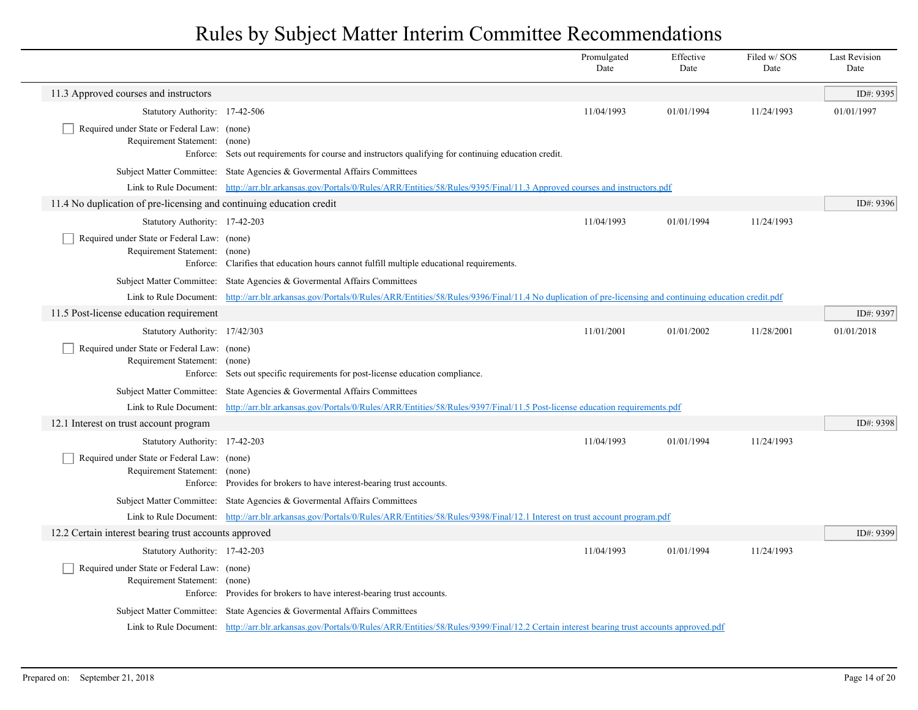|                                                                                                                |                                                                                                                                                                              | Promulgated<br>Date | Effective<br>Date | Filed w/ SOS<br>Date | <b>Last Revision</b><br>Date |
|----------------------------------------------------------------------------------------------------------------|------------------------------------------------------------------------------------------------------------------------------------------------------------------------------|---------------------|-------------------|----------------------|------------------------------|
| 11.3 Approved courses and instructors                                                                          |                                                                                                                                                                              |                     |                   |                      | ID#: 9395                    |
| Statutory Authority: 17-42-506                                                                                 |                                                                                                                                                                              | 11/04/1993          | 01/01/1994        | 11/24/1993           | 01/01/1997                   |
| Required under State or Federal Law: (none)<br>Requirement Statement: (none)                                   | Enforce: Sets out requirements for course and instructors qualifying for continuing education credit.                                                                        |                     |                   |                      |                              |
|                                                                                                                | Subject Matter Committee: State Agencies & Governental Affairs Committees                                                                                                    |                     |                   |                      |                              |
|                                                                                                                | Link to Rule Document: http://arr.blr.arkansas.gov/Portals/0/Rules/ARR/Entities/58/Rules/9395/Final/11.3 Approved courses and instructors.pdf                                |                     |                   |                      |                              |
| 11.4 No duplication of pre-licensing and continuing education credit                                           |                                                                                                                                                                              |                     |                   |                      | ID#: 9396                    |
| Statutory Authority: 17-42-203                                                                                 |                                                                                                                                                                              | 11/04/1993          | 01/01/1994        | 11/24/1993           |                              |
| Required under State or Federal Law: (none)<br>Requirement Statement: (none)                                   | Enforce: Clarifies that education hours cannot fulfill multiple educational requirements.                                                                                    |                     |                   |                      |                              |
|                                                                                                                | Subject Matter Committee: State Agencies & Governental Affairs Committees                                                                                                    |                     |                   |                      |                              |
|                                                                                                                | Link to Rule Document: http://arr.blr.arkansas.gov/Portals/0/Rules/ARR/Entities/58/Rules/9396/Final/11.4 No duplication of pre-licensing and continuing education credit.pdf |                     |                   |                      |                              |
| 11.5 Post-license education requirement                                                                        |                                                                                                                                                                              |                     |                   |                      | ID#: 9397                    |
| Statutory Authority: 17/42/303<br>Required under State or Federal Law: (none)<br>Requirement Statement: (none) | Enforce: Sets out specific requirements for post-license education compliance.                                                                                               | 11/01/2001          | 01/01/2002        | 11/28/2001           | 01/01/2018                   |
|                                                                                                                | Subject Matter Committee: State Agencies & Governental Affairs Committees                                                                                                    |                     |                   |                      |                              |
|                                                                                                                | Link to Rule Document: http://arr.blr.arkansas.gov/Portals/0/Rules/ARR/Entities/58/Rules/9397/Final/11.5 Post-license education requirements.pdf                             |                     |                   |                      |                              |
| 12.1 Interest on trust account program                                                                         |                                                                                                                                                                              |                     |                   |                      | ID#: 9398                    |
| Statutory Authority: 17-42-203                                                                                 |                                                                                                                                                                              | 11/04/1993          | 01/01/1994        | 11/24/1993           |                              |
| Required under State or Federal Law: (none)<br>Requirement Statement: (none)                                   | Enforce: Provides for brokers to have interest-bearing trust accounts.                                                                                                       |                     |                   |                      |                              |
|                                                                                                                | Subject Matter Committee: State Agencies & Governental Affairs Committees                                                                                                    |                     |                   |                      |                              |
|                                                                                                                | Link to Rule Document: http://arr.blr.arkansas.gov/Portals/0/Rules/ARR/Entities/58/Rules/9398/Final/12.1 Interest on trust account program.pdf                               |                     |                   |                      |                              |
| 12.2 Certain interest bearing trust accounts approved                                                          |                                                                                                                                                                              |                     |                   |                      | ID#: 9399                    |
| Statutory Authority: 17-42-203<br>Required under State or Federal Law: (none)<br>Requirement Statement: (none) | Enforce: Provides for brokers to have interest-bearing trust accounts.                                                                                                       | 11/04/1993          | 01/01/1994        | 11/24/1993           |                              |
|                                                                                                                | Subject Matter Committee: State Agencies & Governental Affairs Committees                                                                                                    |                     |                   |                      |                              |
|                                                                                                                | Link to Rule Document: http://arr.blr.arkansas.gov/Portals/0/Rules/ARR/Entities/58/Rules/9399/Final/12.2 Certain interest bearing trust accounts approved.pdf                |                     |                   |                      |                              |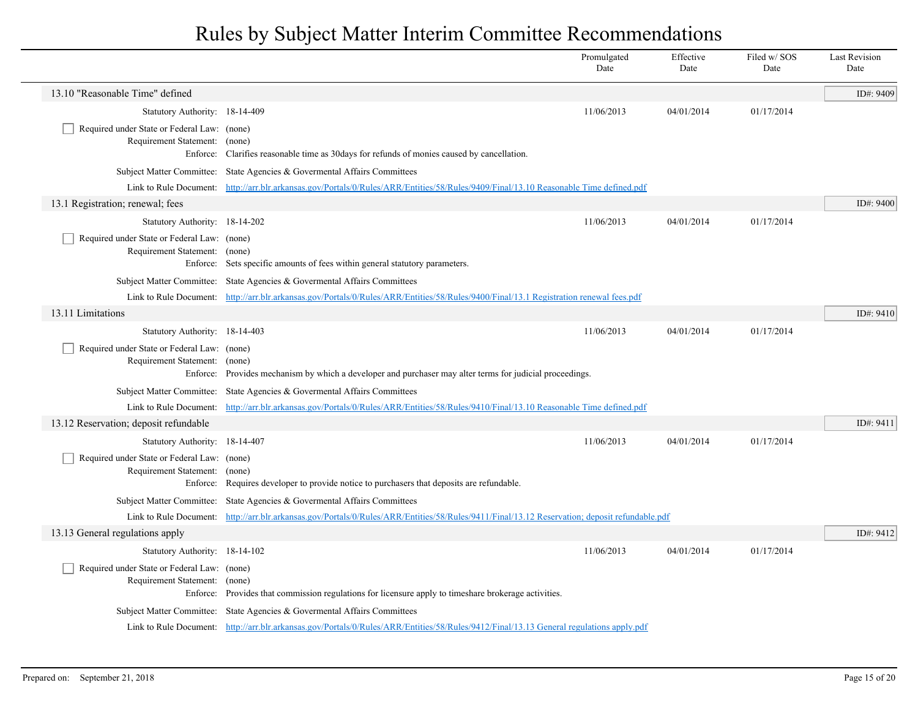|                                                                                                         |                                                                                                                                               | Promulgated<br>Date | Effective<br>Date | Filed w/SOS<br>Date | <b>Last Revision</b><br>Date |
|---------------------------------------------------------------------------------------------------------|-----------------------------------------------------------------------------------------------------------------------------------------------|---------------------|-------------------|---------------------|------------------------------|
| 13.10 "Reasonable Time" defined                                                                         |                                                                                                                                               |                     |                   |                     | ID#: 9409                    |
| Statutory Authority: 18-14-409                                                                          |                                                                                                                                               | 11/06/2013          | 04/01/2014        | 01/17/2014          |                              |
| Required under State or Federal Law: (none)<br>Requirement Statement: (none)<br>Enforce:                | Clarifies reasonable time as 30 days for refunds of monies caused by cancellation.                                                            |                     |                   |                     |                              |
|                                                                                                         | Subject Matter Committee: State Agencies & Governental Affairs Committees                                                                     |                     |                   |                     |                              |
|                                                                                                         | Link to Rule Document: http://arr.blr.arkansas.gov/Portals/0/Rules/ARR/Entities/58/Rules/9409/Final/13.10 Reasonable Time defined.pdf         |                     |                   |                     |                              |
| 13.1 Registration; renewal; fees                                                                        |                                                                                                                                               |                     |                   |                     | ID#: 9400                    |
| Statutory Authority: 18-14-202                                                                          |                                                                                                                                               | 11/06/2013          | 04/01/2014        | 01/17/2014          |                              |
| Required under State or Federal Law: (none)<br>Requirement Statement: (none)                            | Enforce: Sets specific amounts of fees within general statutory parameters.                                                                   |                     |                   |                     |                              |
|                                                                                                         | Subject Matter Committee: State Agencies & Governental Affairs Committees                                                                     |                     |                   |                     |                              |
|                                                                                                         | Link to Rule Document: http://arr.blr.arkansas.gov/Portals/0/Rules/ARR/Entities/58/Rules/9400/Final/13.1 Registration renewal fees.pdf        |                     |                   |                     |                              |
| 13.11 Limitations                                                                                       |                                                                                                                                               |                     |                   |                     | ID#: 9410                    |
| Statutory Authority: 18-14-403<br>Required under State or Federal Law: (none)<br>Requirement Statement: | (none)<br>Enforce: Provides mechanism by which a developer and purchaser may alter terms for judicial proceedings.                            | 11/06/2013          | 04/01/2014        | 01/17/2014          |                              |
|                                                                                                         | Subject Matter Committee: State Agencies & Governental Affairs Committees                                                                     |                     |                   |                     |                              |
|                                                                                                         | Link to Rule Document: http://arr.blr.arkansas.gov/Portals/0/Rules/ARR/Entities/58/Rules/9410/Final/13.10 Reasonable Time defined.pdf         |                     |                   |                     |                              |
| 13.12 Reservation; deposit refundable                                                                   |                                                                                                                                               |                     |                   |                     | ID#: 9411                    |
| Statutory Authority: 18-14-407                                                                          |                                                                                                                                               | 11/06/2013          | 04/01/2014        | 01/17/2014          |                              |
| Required under State or Federal Law: (none)<br>Requirement Statement:                                   | (none)<br>Enforce: Requires developer to provide notice to purchasers that deposits are refundable.                                           |                     |                   |                     |                              |
|                                                                                                         | Subject Matter Committee: State Agencies & Governental Affairs Committees                                                                     |                     |                   |                     |                              |
|                                                                                                         | Link to Rule Document: http://arr.blr.arkansas.gov/Portals/0/Rules/ARR/Entities/58/Rules/9411/Final/13.12 Reservation; deposit refundable.pdf |                     |                   |                     |                              |
| 13.13 General regulations apply                                                                         |                                                                                                                                               |                     |                   |                     | ID#: 9412                    |
| Statutory Authority: 18-14-102<br>Required under State or Federal Law: (none)<br>Requirement Statement: | (none)<br>Enforce: Provides that commission regulations for licensure apply to timeshare brokerage activities.                                | 11/06/2013          | 04/01/2014        | 01/17/2014          |                              |
|                                                                                                         | Subject Matter Committee: State Agencies & Governental Affairs Committees                                                                     |                     |                   |                     |                              |
|                                                                                                         | Link to Rule Document: http://arr.blr.arkansas.gov/Portals/0/Rules/ARR/Entities/58/Rules/9412/Final/13.13 General regulations apply.pdf       |                     |                   |                     |                              |

 $\overline{\phantom{a}}$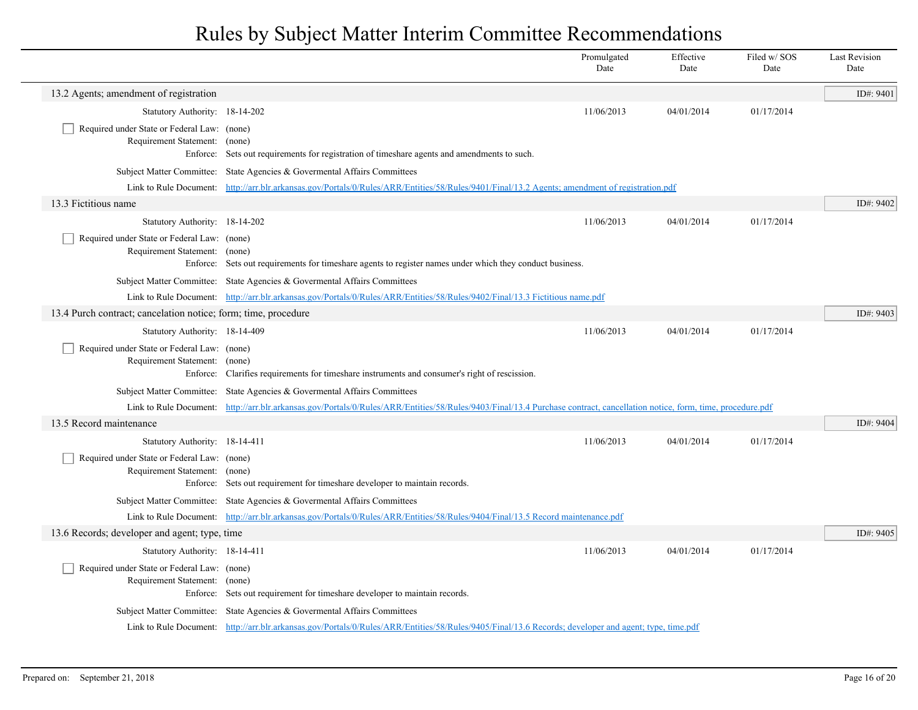|                                                                              |                                                                                                                                                                                                                             | Promulgated<br>Date | Effective<br>Date | Filed w/ SOS<br>Date | <b>Last Revision</b><br>Date |
|------------------------------------------------------------------------------|-----------------------------------------------------------------------------------------------------------------------------------------------------------------------------------------------------------------------------|---------------------|-------------------|----------------------|------------------------------|
| 13.2 Agents; amendment of registration                                       |                                                                                                                                                                                                                             |                     |                   |                      | ID#: 9401                    |
| Statutory Authority: 18-14-202                                               |                                                                                                                                                                                                                             | 11/06/2013          | 04/01/2014        | 01/17/2014           |                              |
| Required under State or Federal Law: (none)                                  |                                                                                                                                                                                                                             |                     |                   |                      |                              |
| Requirement Statement: (none)                                                |                                                                                                                                                                                                                             |                     |                   |                      |                              |
|                                                                              | Enforce: Sets out requirements for registration of timeshare agents and amendments to such.                                                                                                                                 |                     |                   |                      |                              |
|                                                                              | Subject Matter Committee: State Agencies & Governental Affairs Committees<br>Link to Rule Document: http://arr.blr.arkansas.gov/Portals/0/Rules/ARR/Entities/58/Rules/9401/Final/13.2 Agents; amendment of registration.pdf |                     |                   |                      |                              |
| 13.3 Fictitious name                                                         |                                                                                                                                                                                                                             |                     |                   |                      | ID#: 9402                    |
| Statutory Authority: 18-14-202                                               |                                                                                                                                                                                                                             | 11/06/2013          | 04/01/2014        | 01/17/2014           |                              |
| Required under State or Federal Law: (none)                                  |                                                                                                                                                                                                                             |                     |                   |                      |                              |
| Requirement Statement: (none)                                                |                                                                                                                                                                                                                             |                     |                   |                      |                              |
|                                                                              | Enforce: Sets out requirements for timeshare agents to register names under which they conduct business.                                                                                                                    |                     |                   |                      |                              |
|                                                                              | Subject Matter Committee: State Agencies & Governental Affairs Committees                                                                                                                                                   |                     |                   |                      |                              |
|                                                                              | Link to Rule Document: http://arr.blr.arkansas.gov/Portals/0/Rules/ARR/Entities/58/Rules/9402/Final/13.3 Fictitious name.pdf                                                                                                |                     |                   |                      |                              |
| 13.4 Purch contract; cancelation notice; form; time, procedure               |                                                                                                                                                                                                                             |                     |                   |                      | ID#: 9403                    |
| Statutory Authority: 18-14-409                                               |                                                                                                                                                                                                                             | 11/06/2013          | 04/01/2014        | 01/17/2014           |                              |
| Required under State or Federal Law: (none)<br>Requirement Statement: (none) |                                                                                                                                                                                                                             |                     |                   |                      |                              |
|                                                                              | Enforce: Clarifies requirements for timeshare instruments and consumer's right of rescission.                                                                                                                               |                     |                   |                      |                              |
|                                                                              | Subject Matter Committee: State Agencies & Governental Affairs Committees                                                                                                                                                   |                     |                   |                      |                              |
|                                                                              | Link to Rule Document: http://arr.blr.arkansas.gov/Portals/0/Rules/ARR/Entities/58/Rules/9403/Final/13.4 Purchase contract, cancellation notice, form, time, procedure.pdf                                                  |                     |                   |                      |                              |
| 13.5 Record maintenance                                                      |                                                                                                                                                                                                                             |                     |                   |                      | ID#: 9404                    |
| Statutory Authority: 18-14-411                                               |                                                                                                                                                                                                                             | 11/06/2013          | 04/01/2014        | 01/17/2014           |                              |
| Required under State or Federal Law: (none)                                  |                                                                                                                                                                                                                             |                     |                   |                      |                              |
| Requirement Statement: (none)                                                | Enforce: Sets out requirement for timeshare developer to maintain records.                                                                                                                                                  |                     |                   |                      |                              |
|                                                                              | Subject Matter Committee: State Agencies & Governental Affairs Committees                                                                                                                                                   |                     |                   |                      |                              |
|                                                                              | Link to Rule Document: http://arr.blr.arkansas.gov/Portals/0/Rules/ARR/Entities/58/Rules/9404/Final/13.5 Record maintenance.pdf                                                                                             |                     |                   |                      |                              |
| 13.6 Records; developer and agent; type, time                                |                                                                                                                                                                                                                             |                     |                   |                      | ID#: 9405                    |
| Statutory Authority: 18-14-411                                               |                                                                                                                                                                                                                             | 11/06/2013          | 04/01/2014        | 01/17/2014           |                              |
| Required under State or Federal Law: (none)                                  |                                                                                                                                                                                                                             |                     |                   |                      |                              |
| Requirement Statement: (none)                                                |                                                                                                                                                                                                                             |                     |                   |                      |                              |
|                                                                              | Enforce: Sets out requirement for timeshare developer to maintain records.                                                                                                                                                  |                     |                   |                      |                              |
|                                                                              | Subject Matter Committee: State Agencies & Governental Affairs Committees                                                                                                                                                   |                     |                   |                      |                              |
|                                                                              | Link to Rule Document: http://arr.blr.arkansas.gov/Portals/0/Rules/ARR/Entities/58/Rules/9405/Final/13.6 Records; developer and agent; type, time.pdf                                                                       |                     |                   |                      |                              |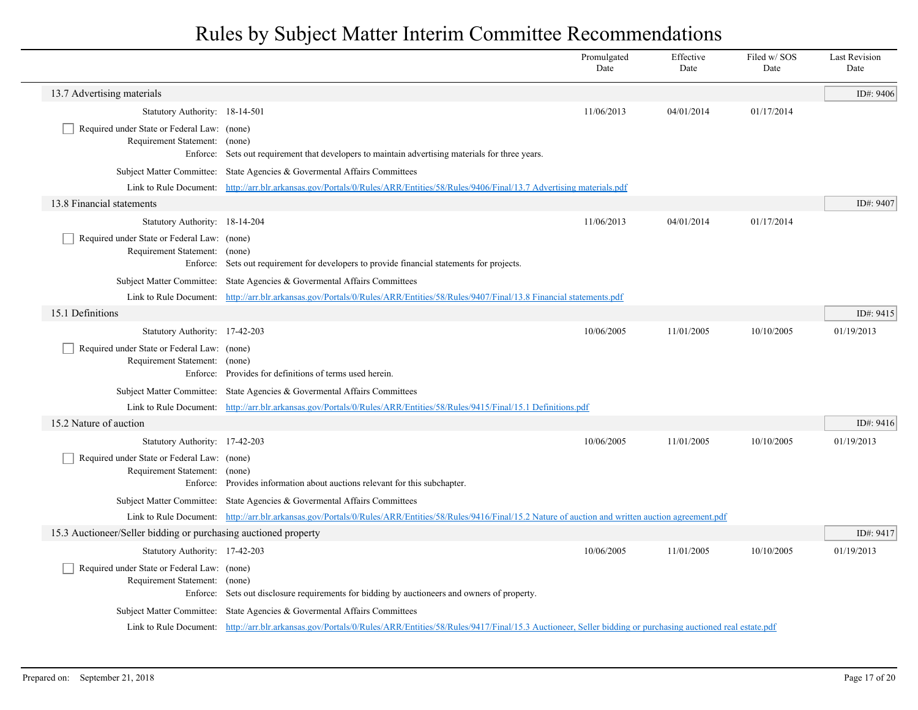|                                                                              |                                                                                                                                                                             | Promulgated<br>Date | Effective<br>Date | Filed w/ SOS<br>Date | <b>Last Revision</b><br>Date |
|------------------------------------------------------------------------------|-----------------------------------------------------------------------------------------------------------------------------------------------------------------------------|---------------------|-------------------|----------------------|------------------------------|
| 13.7 Advertising materials                                                   |                                                                                                                                                                             |                     |                   |                      | ID#: 9406                    |
| Statutory Authority: 18-14-501                                               |                                                                                                                                                                             | 11/06/2013          | 04/01/2014        | 01/17/2014           |                              |
| Required under State or Federal Law: (none)<br>Requirement Statement: (none) | Enforce: Sets out requirement that developers to maintain advertising materials for three years.                                                                            |                     |                   |                      |                              |
|                                                                              | Subject Matter Committee: State Agencies & Governental Affairs Committees                                                                                                   |                     |                   |                      |                              |
|                                                                              | Link to Rule Document: http://arr.blr.arkansas.gov/Portals/0/Rules/ARR/Entities/58/Rules/9406/Final/13.7 Advertising materials.pdf                                          |                     |                   |                      |                              |
| 13.8 Financial statements                                                    |                                                                                                                                                                             |                     |                   |                      | ID#: 9407                    |
| Statutory Authority: 18-14-204                                               |                                                                                                                                                                             | 11/06/2013          | 04/01/2014        | 01/17/2014           |                              |
| Required under State or Federal Law: (none)<br>Requirement Statement: (none) | Enforce: Sets out requirement for developers to provide financial statements for projects.                                                                                  |                     |                   |                      |                              |
|                                                                              | Subject Matter Committee: State Agencies & Governental Affairs Committees                                                                                                   |                     |                   |                      |                              |
|                                                                              | Link to Rule Document: http://arr.blr.arkansas.gov/Portals/0/Rules/ARR/Entities/58/Rules/9407/Final/13.8 Financial statements.pdf                                           |                     |                   |                      |                              |
| 15.1 Definitions                                                             |                                                                                                                                                                             |                     |                   |                      | ID#: 9415                    |
| Statutory Authority: 17-42-203                                               |                                                                                                                                                                             | 10/06/2005          | 11/01/2005        | 10/10/2005           | 01/19/2013                   |
| Required under State or Federal Law: (none)<br>Requirement Statement: (none) | Enforce: Provides for definitions of terms used herein.                                                                                                                     |                     |                   |                      |                              |
|                                                                              | Subject Matter Committee: State Agencies & Governental Affairs Committees                                                                                                   |                     |                   |                      |                              |
|                                                                              | Link to Rule Document: http://arr.blr.arkansas.gov/Portals/0/Rules/ARR/Entities/58/Rules/9415/Final/15.1 Definitions.pdf                                                    |                     |                   |                      |                              |
| 15.2 Nature of auction                                                       |                                                                                                                                                                             |                     |                   |                      | ID#: 9416                    |
| Statutory Authority: 17-42-203                                               |                                                                                                                                                                             | 10/06/2005          | 11/01/2005        | 10/10/2005           | 01/19/2013                   |
| Required under State or Federal Law: (none)<br>Requirement Statement: (none) | Enforce: Provides information about auctions relevant for this subchapter.                                                                                                  |                     |                   |                      |                              |
|                                                                              | Subject Matter Committee: State Agencies & Governental Affairs Committees                                                                                                   |                     |                   |                      |                              |
|                                                                              | Link to Rule Document: http://arr.blr.arkansas.gov/Portals/0/Rules/ARR/Entities/58/Rules/9416/Final/15.2 Nature of auction and written auction agreement.pdf                |                     |                   |                      |                              |
| 15.3 Auctioneer/Seller bidding or purchasing auctioned property              |                                                                                                                                                                             |                     |                   |                      | ID#: 9417                    |
| Statutory Authority: 17-42-203                                               |                                                                                                                                                                             | 10/06/2005          | 11/01/2005        | 10/10/2005           | 01/19/2013                   |
| Required under State or Federal Law: (none)<br>Requirement Statement: (none) | Enforce: Sets out disclosure requirements for bidding by auctioneers and owners of property.                                                                                |                     |                   |                      |                              |
|                                                                              | Subject Matter Committee: State Agencies & Governental Affairs Committees                                                                                                   |                     |                   |                      |                              |
|                                                                              | Link to Rule Document: http://arr.blr.arkansas.gov/Portals/0/Rules/ARR/Entities/58/Rules/9417/Final/15.3 Auctioneer, Seller bidding or purchasing auctioned real estate.pdf |                     |                   |                      |                              |
|                                                                              |                                                                                                                                                                             |                     |                   |                      |                              |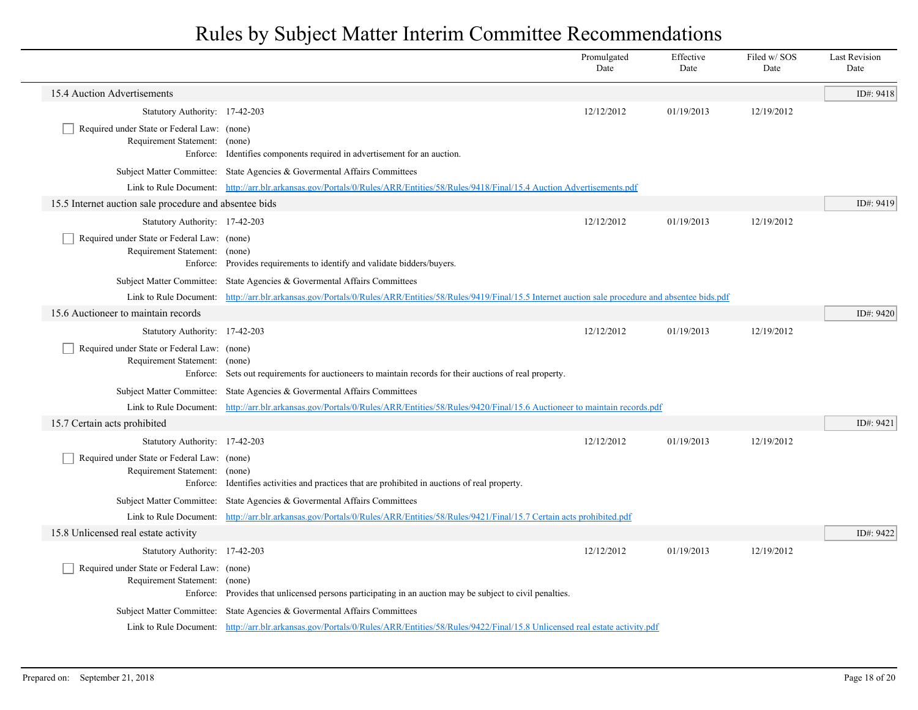|                                                                                          |                                                                                                                                                                | Promulgated<br>Date | Effective<br>Date | Filed w/SOS<br>Date | <b>Last Revision</b><br>Date |
|------------------------------------------------------------------------------------------|----------------------------------------------------------------------------------------------------------------------------------------------------------------|---------------------|-------------------|---------------------|------------------------------|
| 15.4 Auction Advertisements                                                              |                                                                                                                                                                |                     |                   |                     | ID#: 9418                    |
| Statutory Authority: 17-42-203                                                           |                                                                                                                                                                | 12/12/2012          | 01/19/2013        | 12/19/2012          |                              |
| Required under State or Federal Law: (none)<br>Requirement Statement: (none)             | Enforce: Identifies components required in advertisement for an auction.                                                                                       |                     |                   |                     |                              |
|                                                                                          | Subject Matter Committee: State Agencies & Governental Affairs Committees                                                                                      |                     |                   |                     |                              |
|                                                                                          | Link to Rule Document: http://arr.blr.arkansas.gov/Portals/0/Rules/ARR/Entities/58/Rules/9418/Final/15.4 Auction Advertisements.pdf                            |                     |                   |                     |                              |
| 15.5 Internet auction sale procedure and absentee bids                                   |                                                                                                                                                                |                     |                   |                     | ID#: 9419                    |
| Statutory Authority: 17-42-203                                                           |                                                                                                                                                                | 12/12/2012          | 01/19/2013        | 12/19/2012          |                              |
| Required under State or Federal Law: (none)<br>Requirement Statement: (none)             | Enforce: Provides requirements to identify and validate bidders/buyers.                                                                                        |                     |                   |                     |                              |
|                                                                                          | Subject Matter Committee: State Agencies & Governental Affairs Committees                                                                                      |                     |                   |                     |                              |
|                                                                                          | Link to Rule Document: http://arr.blr.arkansas.gov/Portals/0/Rules/ARR/Entities/58/Rules/9419/Final/15.5 Internet auction sale procedure and absentee bids.pdf |                     |                   |                     |                              |
| 15.6 Auctioneer to maintain records                                                      |                                                                                                                                                                |                     |                   |                     | ID#: 9420                    |
| Statutory Authority: 17-42-203                                                           |                                                                                                                                                                | 12/12/2012          | 01/19/2013        | 12/19/2012          |                              |
| Required under State or Federal Law: (none)<br>Requirement Statement: (none)<br>Enforce: | Sets out requirements for auctioneers to maintain records for their auctions of real property.                                                                 |                     |                   |                     |                              |
| Subject Matter Committee:                                                                | State Agencies & Govermental Affairs Committees                                                                                                                |                     |                   |                     |                              |
|                                                                                          | Link to Rule Document: http://arr.blr.arkansas.gov/Portals/0/Rules/ARR/Entities/58/Rules/9420/Final/15.6 Auctioneer to maintain records.pdf                    |                     |                   |                     |                              |
| 15.7 Certain acts prohibited                                                             |                                                                                                                                                                |                     |                   |                     | ID#: 9421                    |
| Statutory Authority: 17-42-203                                                           |                                                                                                                                                                | 12/12/2012          | 01/19/2013        | 12/19/2012          |                              |
| Required under State or Federal Law: (none)<br>Requirement Statement: (none)<br>Enforce: | Identifies activities and practices that are prohibited in auctions of real property.                                                                          |                     |                   |                     |                              |
|                                                                                          | Subject Matter Committee: State Agencies & Governental Affairs Committees                                                                                      |                     |                   |                     |                              |
|                                                                                          | Link to Rule Document: http://arr.blr.arkansas.gov/Portals/0/Rules/ARR/Entities/58/Rules/9421/Final/15.7 Certain acts prohibited.pdf                           |                     |                   |                     |                              |
| 15.8 Unlicensed real estate activity                                                     |                                                                                                                                                                |                     |                   |                     | ID#: 9422                    |
| Statutory Authority: 17-42-203                                                           |                                                                                                                                                                | 12/12/2012          | 01/19/2013        | 12/19/2012          |                              |
| Required under State or Federal Law: (none)<br>Requirement Statement: (none)             | Enforce: Provides that unlicensed persons participating in an auction may be subject to civil penalties.                                                       |                     |                   |                     |                              |
|                                                                                          | Subject Matter Committee: State Agencies & Governental Affairs Committees                                                                                      |                     |                   |                     |                              |
|                                                                                          | Link to Rule Document: http://arr.blr.arkansas.gov/Portals/0/Rules/ARR/Entities/58/Rules/9422/Final/15.8 Unlicensed real estate activity.pdf                   |                     |                   |                     |                              |
|                                                                                          |                                                                                                                                                                |                     |                   |                     |                              |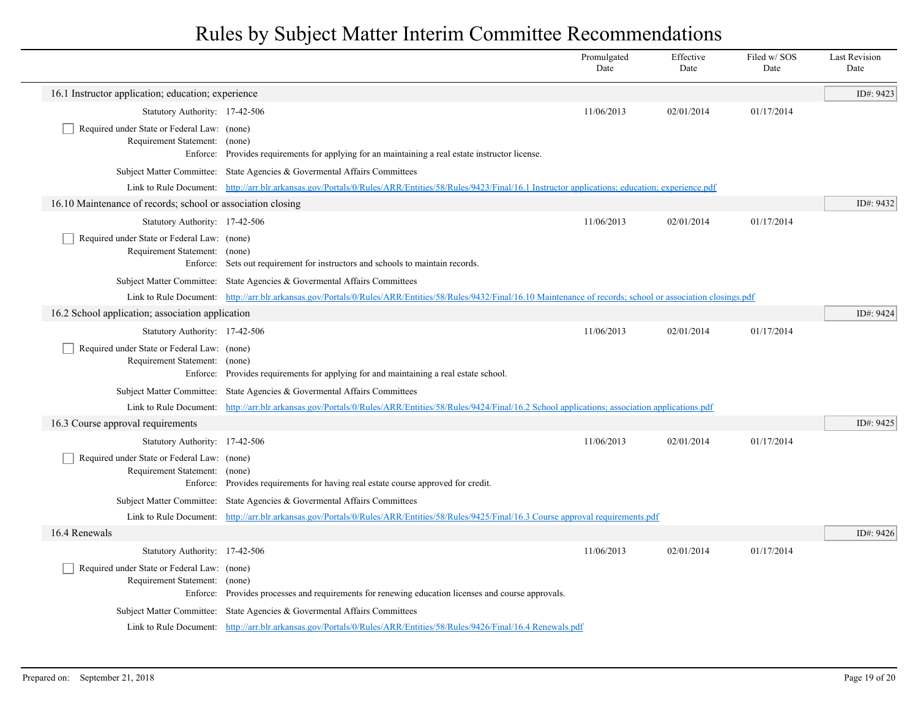|                                                                                   |                                                                                                                                                                      | Promulgated<br>Date | Effective<br>Date | Filed w/ SOS<br>Date | <b>Last Revision</b><br>Date |
|-----------------------------------------------------------------------------------|----------------------------------------------------------------------------------------------------------------------------------------------------------------------|---------------------|-------------------|----------------------|------------------------------|
| 16.1 Instructor application; education; experience                                |                                                                                                                                                                      |                     |                   |                      | ID#: 9423                    |
| Statutory Authority: 17-42-506                                                    |                                                                                                                                                                      | 11/06/2013          | 02/01/2014        | 01/17/2014           |                              |
| Required under State or Federal Law: (none)<br>Requirement Statement: (none)      | Enforce: Provides requirements for applying for an maintaining a real estate instructor license.                                                                     |                     |                   |                      |                              |
|                                                                                   | Subject Matter Committee: State Agencies & Governental Affairs Committees                                                                                            |                     |                   |                      |                              |
|                                                                                   | Link to Rule Document: http://arr.blr.arkansas.gov/Portals/0/Rules/ARR/Entities/58/Rules/9423/Final/16.1 Instructor applications; education; experience.pdf          |                     |                   |                      |                              |
| 16.10 Maintenance of records; school or association closing                       |                                                                                                                                                                      |                     |                   |                      | ID#: 9432                    |
| Statutory Authority: 17-42-506                                                    |                                                                                                                                                                      | 11/06/2013          | 02/01/2014        | 01/17/2014           |                              |
| Required under State or Federal Law: (none)<br>Requirement Statement: (none)      | Enforce: Sets out requirement for instructors and schools to maintain records.                                                                                       |                     |                   |                      |                              |
|                                                                                   | Subject Matter Committee: State Agencies & Governental Affairs Committees                                                                                            |                     |                   |                      |                              |
|                                                                                   | Link to Rule Document: http://arr.blr.arkansas.gov/Portals/0/Rules/ARR/Entities/58/Rules/9432/Final/16.10 Maintenance of records; school or association closings.pdf |                     |                   |                      |                              |
| 16.2 School application; association application                                  |                                                                                                                                                                      |                     |                   |                      | ID#: 9424                    |
| Statutory Authority: 17-42-506                                                    |                                                                                                                                                                      | 11/06/2013          | 02/01/2014        | 01/17/2014           |                              |
| Required under State or Federal Law: (none)<br>Requirement Statement: (none)      | Enforce: Provides requirements for applying for and maintaining a real estate school.                                                                                |                     |                   |                      |                              |
|                                                                                   | Subject Matter Committee: State Agencies & Governental Affairs Committees                                                                                            |                     |                   |                      |                              |
|                                                                                   | Link to Rule Document: http://arr.blr.arkansas.gov/Portals/0/Rules/ARR/Entities/58/Rules/9424/Final/16.2 School applications; association applications.pdf           |                     |                   |                      |                              |
| 16.3 Course approval requirements                                                 |                                                                                                                                                                      |                     |                   |                      | ID#: 9425                    |
| Statutory Authority: 17-42-506                                                    |                                                                                                                                                                      | 11/06/2013          | 02/01/2014        | 01/17/2014           |                              |
| Required under State or Federal Law: (none)<br>Requirement Statement: (none)      | Enforce: Provides requirements for having real estate course approved for credit.                                                                                    |                     |                   |                      |                              |
|                                                                                   | Subject Matter Committee: State Agencies & Governental Affairs Committees                                                                                            |                     |                   |                      |                              |
|                                                                                   | Link to Rule Document: http://arr.blr.arkansas.gov/Portals/0/Rules/ARR/Entities/58/Rules/9425/Final/16.3 Course approval requirements.pdf                            |                     |                   |                      |                              |
| 16.4 Renewals                                                                     |                                                                                                                                                                      |                     |                   |                      | ID#: 9426                    |
| Statutory Authority: 17-42-506                                                    |                                                                                                                                                                      | 11/06/2013          | 02/01/2014        | 01/17/2014           |                              |
| Required under State or Federal Law: (none)<br>Requirement Statement:<br>Enforce: | (none)<br>Provides processes and requirements for renewing education licenses and course approvals.                                                                  |                     |                   |                      |                              |
|                                                                                   | Subject Matter Committee: State Agencies & Governental Affairs Committees                                                                                            |                     |                   |                      |                              |
|                                                                                   | Link to Rule Document: http://arr.blr.arkansas.gov/Portals/0/Rules/ARR/Entities/58/Rules/9426/Final/16.4 Renewals.pdf                                                |                     |                   |                      |                              |
|                                                                                   |                                                                                                                                                                      |                     |                   |                      |                              |